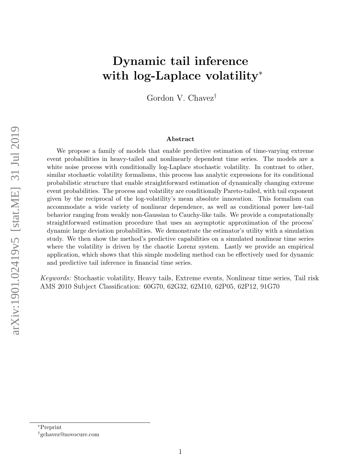# Dynamic tail inference with log-Laplace volatility<sup>\*</sup>

Gordon V. Chavez†

#### Abstract

We propose a family of models that enable predictive estimation of time-varying extreme event probabilities in heavy-tailed and nonlinearly dependent time series. The models are a white noise process with conditionally log-Laplace stochastic volatility. In contrast to other, similar stochastic volatility formalisms, this process has analytic expressions for its conditional probabilistic structure that enable straightforward estimation of dynamically changing extreme event probabilities. The process and volatility are conditionally Pareto-tailed, with tail exponent given by the reciprocal of the log-volatility's mean absolute innovation. This formalism can accommodate a wide variety of nonlinear dependence, as well as conditional power law-tail behavior ranging from weakly non-Gaussian to Cauchy-like tails. We provide a computationally straightforward estimation procedure that uses an asymptotic approximation of the process' dynamic large deviation probabilities. We demonstrate the estimator's utility with a simulation study. We then show the method's predictive capabilities on a simulated nonlinear time series where the volatility is driven by the chaotic Lorenz system. Lastly we provide an empirical application, which shows that this simple modeling method can be effectively used for dynamic and predictive tail inference in financial time series.

Keywords: Stochastic volatility, Heavy tails, Extreme events, Nonlinear time series, Tail risk AMS 2010 Subject Classification: 60G70, 62G32, 62M10, 62P05, 62P12, 91G70

<sup>∗</sup>Preprint †gchavez@novocure.com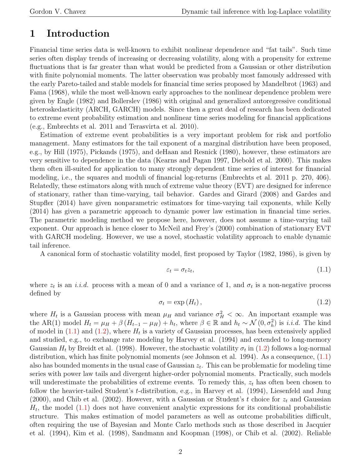## 1 Introduction

Financial time series data is well-known to exhibit nonlinear dependence and "fat tails". Such time series often display trends of increasing or decreasing volatility, along with a propensity for extreme fluctuations that is far greater than what would be predicted from a Gaussian or other distribution with finite polynomial moments. The latter observation was probably most famously addressed with the early Pareto-tailed and stable models for financial time series proposed by Mandelbrot (1963) and Fama (1968), while the most well-known early approaches to the nonlinear dependence problem were given by Engle (1982) and Bollerslev (1986) with original and generalized autoregressive conditional heteroskedasticity (ARCH, GARCH) models. Since then a great deal of research has been dedicated to extreme event probability estimation and nonlinear time series modeling for financial applications (e.g., Embrechts et al. 2011 and Terasvirta et al. 2010).

Estimation of extreme event probabilities is a very important problem for risk and portfolio management. Many estimators for the tail exponent of a marginal distribution have been proposed, e.g., by Hill (1975), Pickands (1975), and deHaan and Resnick (1980), however, these estimators are very sensitive to dependence in the data (Kearns and Pagan 1997, Diebold et al. 2000). This makes them often ill-suited for application to many strongly dependent time series of interest for financial modeling, i.e., the squares and moduli of financial log-returns (Embrechts et al. 2011 p. 270, 406). Relatedly, these estimators along with much of extreme value theory (EVT) are designed for inference of stationary, rather than time-varying, tail behavior. Gardes and Girard (2008) and Gardes and Stupfler (2014) have given nonparametric estimators for time-varying tail exponents, while Kelly (2014) has given a parametric approach to dynamic power law estimation in financial time series. The parametric modeling method we propose here, however, does not assume a time-varying tail exponent. Our approach is hence closer to McNeil and Frey's (2000) combination of stationary EVT with GARCH modeling. However, we use a novel, stochastic volatility approach to enable dynamic tail inference.

A canonical form of stochastic volatility model, first proposed by Taylor (1982, 1986), is given by

<span id="page-1-0"></span>
$$
\varepsilon_t = \sigma_t z_t,\tag{1.1}
$$

where  $z_t$  is an *i.i.d.* process with a mean of 0 and a variance of 1, and  $\sigma_t$  is a non-negative process defined by

<span id="page-1-1"></span>
$$
\sigma_t = \exp\left(H_t\right),\tag{1.2}
$$

where  $H_t$  is a Gaussian process with mean  $\mu_H$  and variance  $\sigma_H^2 < \infty$ . An important example was the AR(1) model  $H_t = \mu_H + \beta (H_{t-1} - \mu_H) + h_t$ , where  $\beta \in \mathbb{R}$  and  $h_t \sim \mathcal{N}(0, \sigma_h^2)$  is *i.i.d.* The kind of model in  $(1.1)$  and  $(1.2)$ , where  $H_t$  is a variety of Gaussian processes, has been extensively applied and studied, e.g., to exchange rate modeling by Harvey et al. (1994) and extended to long-memory Gaussian  $H_t$  by Breidt et al. (1998). However, the stochastic volatility  $\sigma_t$  in [\(1.2\)](#page-1-1) follows a log-normal distribution, which has finite polynomial moments (see Johnson et al. 1994). As a consequence, [\(1.1\)](#page-1-0) also has bounded moments in the usual case of Gaussian  $z_t$ . This can be problematic for modeling time series with power law tails and divergent higher-order polynomial moments. Practically, such models will underestimate the probabilities of extreme events. To remedy this,  $z_t$  has often been chosen to follow the heavier-tailed Student's t-distribution, e.g., in Harvey et al. (1994), Liesenfeld and Jung  $(2000)$ , and Chib et al.  $(2002)$ . However, with a Gaussian or Student's t choice for  $z_t$  and Gaussian  $H_t$ , the model  $(1.1)$  does not have convenient analytic expressions for its conditional probabilistic structure. This makes estimation of model parameters as well as outcome probabilities difficult, often requiring the use of Bayesian and Monte Carlo methods such as those described in Jacquier et al. (1994), Kim et al. (1998), Sandmann and Koopman (1998), or Chib et al. (2002). Reliable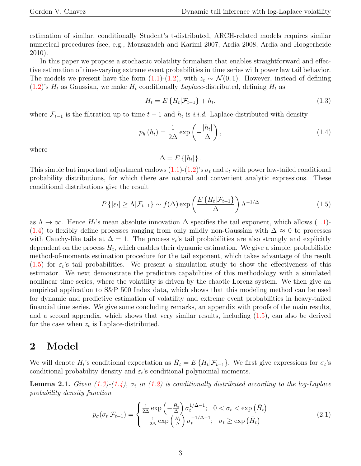estimation of similar, conditionally Student's t-distributed, ARCH-related models requires similar numerical procedures (see, e.g., Mousazadeh and Karimi 2007, Ardia 2008, Ardia and Hoogerheide 2010).

In this paper we propose a stochastic volatility formalism that enables straightforward and effective estimation of time-varying extreme event probabilities in time series with power law tail behavior. The models we present have the form [\(1.1\)](#page-1-0)-[\(1.2\)](#page-1-1), with  $z_t \sim \mathcal{N}(0, 1)$ . However, instead of defining  $(1.2)$ 's  $H_t$  as Gaussian, we make  $H_t$  conditionally *Laplace*-distributed, defining  $H_t$  as

<span id="page-2-2"></span>
$$
H_t = E\{H_t|\mathcal{F}_{t-1}\} + h_t,\tag{1.3}
$$

where  $\mathcal{F}_{t-1}$  is the filtration up to time  $t-1$  and  $h_t$  is *i.i.d.* Laplace-distributed with density

<span id="page-2-0"></span>
$$
p_h(h_t) = \frac{1}{2\Delta} \exp\left(-\frac{|h_t|}{\Delta}\right),\tag{1.4}
$$

where

 $\Delta = E\left\{ |h_t| \right\}.$ 

This simple but important adjustment endows  $(1.1)-(1.2)$  $(1.1)-(1.2)$ 's  $\sigma_t$  and  $\varepsilon_t$  with power law-tailed conditional probability distributions, for which there are natural and convenient analytic expressions. These conditional distributions give the result

<span id="page-2-1"></span>
$$
P\left\{| \varepsilon_t | \ge \Lambda | \mathcal{F}_{t-1}\right\} \sim f(\Delta) \exp\left(\frac{E\left\{H_t | \mathcal{F}_{t-1}\right\}}{\Delta}\right) \Lambda^{-1/\Delta} \tag{1.5}
$$

as  $\Lambda \to \infty$ . Hence  $H_t$ 's mean absolute innovation  $\Delta$  specifies the tail exponent, which allows [\(1.1\)](#page-1-0)-[\(1.4\)](#page-2-0) to flexibly define processes ranging from only mildly non-Gaussian with  $\Delta \approx 0$  to processes with Cauchy-like tails at  $\Delta = 1$ . The process  $\varepsilon_t$ 's tail probabilities are also strongly and explicitly dependent on the process  $H_t$ , which enables their dynamic estimation. We give a simple, probabilistic method-of-moments estimation procedure for the tail exponent, which takes advantage of the result  $(1.5)$  for  $\varepsilon_t$ 's tail probabilities. We present a simulation study to show the effectiveness of this estimator. We next demonstrate the predictive capabilities of this methodology with a simulated nonlinear time series, where the volatility is driven by the chaotic Lorenz system. We then give an empirical application to S&P 500 Index data, which shows that this modeling method can be used for dynamic and predictive estimation of volatility and extreme event probabilities in heavy-tailed financial time series. We give some concluding remarks, an appendix with proofs of the main results, and a second appendix, which shows that very similar results, including [\(1.5\)](#page-2-1), can also be derived for the case when  $z_t$  is Laplace-distributed.

### 2 Model

We will denote  $H_t$ 's conditional expectation as  $\bar{H}_t = E\{H_t | \mathcal{F}_{t-1}\}\$ . We first give expressions for  $\sigma_t$ 's conditional probability density and  $\varepsilon_t$ 's conditional polynomial moments.

**Lemma 2.1.** Given  $(1.3)-(1.4)$  $(1.3)-(1.4)$  $(1.3)-(1.4)$ ,  $\sigma_t$  in  $(1.2)$  is conditionally distributed according to the log-Laplace probability density function

<span id="page-2-3"></span>
$$
p_{\sigma}(\sigma_t|\mathcal{F}_{t-1}) = \begin{cases} \frac{1}{2\Delta} \exp\left(-\frac{\bar{H}_t}{\Delta}\right) \sigma_t^{1/\Delta - 1}; & 0 < \sigma_t < \exp\left(\bar{H}_t\right) \\ \frac{1}{2\Delta} \exp\left(\frac{\bar{H}_t}{\Delta}\right) \sigma_t^{-1/\Delta - 1}; & \sigma_t \ge \exp\left(\bar{H}_t\right) \end{cases}
$$
(2.1)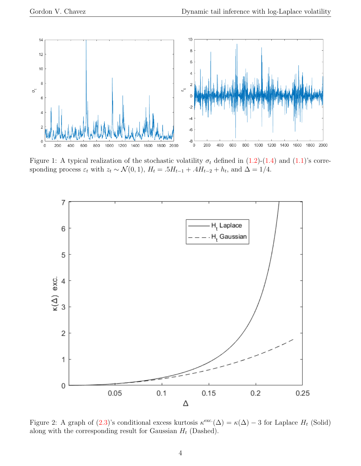

Figure 1: A typical realization of the stochastic volatility  $\sigma_t$  defined in [\(1.2\)](#page-1-1)-[\(1.4\)](#page-2-0) and [\(1.1\)](#page-1-0)'s corresponding process  $\varepsilon_t$  with  $z_t \sim \mathcal{N}(0, 1)$ ,  $H_t = .5H_{t-1} + .4H_{t-2} + h_t$ , and  $\Delta = 1/4$ .



<span id="page-3-0"></span>Figure 2: A graph of  $(2.3)$ 's conditional excess kurtosis  $\kappa^{\text{exc}}(\Delta) = \kappa(\Delta) - 3$  for Laplace  $H_t$  (Solid) along with the corresponding result for Gaussian  $H_t$  (Dashed).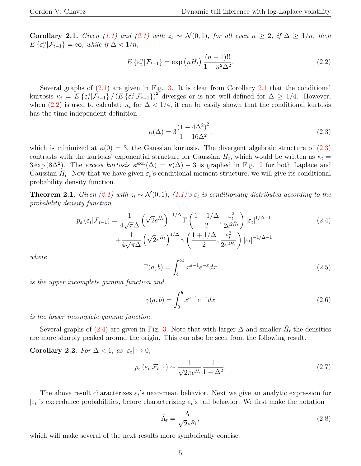Corollary 2.1. Given [\(1.1\)](#page-1-0) and [\(2.1\)](#page-2-3) with  $z_t \sim \mathcal{N}(0, 1)$ , for all even  $n \geq 2$ , if  $\Delta \geq 1/n$ , then  $E\left\{ \varepsilon_{t}^{n}|\mathcal{F}_{t-1}\right\} =\infty$ , while if  $\Delta<1/n$ ,

<span id="page-4-1"></span>
$$
E\left\{ \varepsilon_{t}^{n}|\mathcal{F}_{t-1} \right\} = \exp\left(n\bar{H}_{t}\right) \frac{(n-1)!!}{1 - n^{2}\Delta^{2}}.
$$
\n(2.2)

Several graphs of  $(2.1)$  $(2.1)$  $(2.1)$  are given in Fig. [3.](#page-5-0) It is clear from Corollary 2.1 that the conditional kurtosis  $\kappa_t = E \left\{ \varepsilon_t^4 | \mathcal{F}_{t-1} \right\} / \left( E \left\{ \varepsilon_t^2 | \mathcal{F}_{t-1} \right\} \right)^2$  diverges or is not well-defined for  $\Delta \geq 1/4$ . However, when  $(2.2)$  is used to calculate  $\kappa_t$  for  $\Delta < 1/4$ , it can be easily shown that the conditional kurtosis has the time-independent definition

<span id="page-4-0"></span>
$$
\kappa(\Delta) = 3 \frac{(1 - 4\Delta^2)^2}{1 - 16\Delta^2},\tag{2.3}
$$

which is minimized at  $\kappa(0) = 3$ , the Gaussian kurtosis. The divergent algebraic structure of [\(2.3\)](#page-4-0) contrasts with the kurtosis' exponential structure for Gaussian  $H_t$ , which would be written as  $\kappa_t =$  $3 \exp(8\Delta^2)$  $3 \exp(8\Delta^2)$  $3 \exp(8\Delta^2)$ . The excess kurtosis  $\kappa^{\rm exc.}(\Delta) = \kappa(\Delta) - 3$  is graphed in Fig. 2 for both Laplace and Gaussian  $H_t$ . Now that we have given  $\varepsilon_t$ 's conditional moment structure, we will give its conditional probability density function.

**Theorem 2.1.** Given [\(2.1\)](#page-2-3) with  $z_t \sim \mathcal{N}(0, 1)$ , [\(1.1\)](#page-1-0)'s  $\varepsilon_t$  is conditionally distributed according to the probability density function

<span id="page-4-2"></span>
$$
p_{\varepsilon}(\varepsilon_{t}|\mathcal{F}_{t-1}) = \frac{1}{4\sqrt{\pi}\Delta} \left(\sqrt{2}e^{\bar{H}_{t}}\right)^{-1/\Delta} \Gamma\left(\frac{1-1/\Delta}{2}, \frac{\varepsilon_{t}^{2}}{2e^{2\bar{H}_{t}}}\right) |\varepsilon_{t}|^{1/\Delta-1} + \frac{1}{4\sqrt{\pi}\Delta} \left(\sqrt{2}e^{\bar{H}_{t}}\right)^{1/\Delta} \gamma\left(\frac{1+1/\Delta}{2}, \frac{\varepsilon_{t}^{2}}{2e^{2\bar{H}_{t}}}\right) |\varepsilon_{t}|^{-1/\Delta-1}
$$
(2.4)

where

<span id="page-4-4"></span>
$$
\Gamma(a,b) = \int_b^{\infty} x^{a-1} e^{-x} dx
$$
\n(2.5)

is the upper incomplete gamma function and

<span id="page-4-3"></span>
$$
\gamma(a,b) = \int_0^b x^{a-1} e^{-x} dx
$$
\n(2.6)

is the lower incomplete gamma function.

Several graphs of [\(2.4\)](#page-4-2) are given in Fig. [3.](#page-5-0) Note that with larger  $\Delta$  and smaller  $\bar{H}_t$  the densities are more sharply peaked around the origin. This can also be seen from the following result.

Corollary 2.2. For  $\Delta < 1$ , as  $|\varepsilon_t| \to 0$ ,

<span id="page-4-6"></span>
$$
p_{\varepsilon}(\varepsilon_t|\mathcal{F}_{t-1}) \sim \frac{1}{\sqrt{2\pi}e^{\bar{H}_t}} \frac{1}{1-\Delta^2}.
$$
\n(2.7)

The above result characterizes  $\varepsilon_t$ 's near-mean behavior. Next we give an analytic expression for  $|\varepsilon_t|$ 's exceedance probabilities, before characterizing  $\varepsilon_t$ 's tail behavior. We first make the notation

<span id="page-4-5"></span>
$$
\widetilde{\Lambda}_t = \frac{\Lambda}{\sqrt{2}e^{\bar{H}_t}},\tag{2.8}
$$

which will make several of the next results more symbolically concise.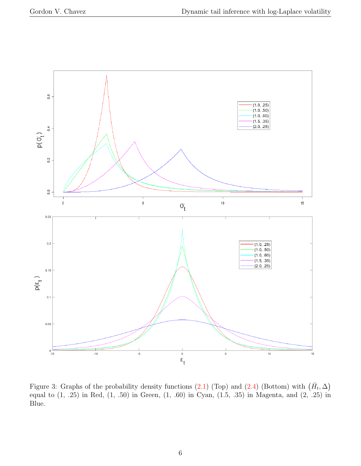

<span id="page-5-0"></span>Figure 3: Graphs of the probability density functions [\(2.1\)](#page-2-3) (Top) and [\(2.4\)](#page-4-2) (Bottom) with  $(\bar{H}_t, \Delta)$ equal to (1, .25) in Red, (1, .50) in Green, (1, .60) in Cyan, (1.5, .35) in Magenta, and (2, .25) in Blue.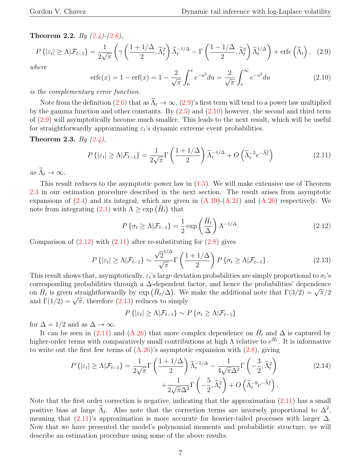Theorem 2.2. By  $(2.4)-(2.6)$  $(2.4)-(2.6)$  $(2.4)-(2.6)$ ,

<span id="page-6-0"></span>
$$
P\left\{|{\varepsilon}_t| \geq \Lambda | \mathcal{F}_{t-1}\right\} = \frac{1}{2\sqrt{\pi}} \left( \gamma \left( \frac{1 + 1/\Delta}{2}, \widetilde{\Lambda}_t^2 \right) \widetilde{\Lambda}_t^{-1/\Delta} - \Gamma \left( \frac{1 - 1/\Delta}{2}, \widetilde{\Lambda}_t^2 \right) \widetilde{\Lambda}_t^{1/\Delta} \right) + \text{erfc}\left(\widetilde{\Lambda}_t\right), \tag{2.9}
$$

where

<span id="page-6-1"></span>
$$
\operatorname{erfc}(x) = 1 - \operatorname{erf}(x) = 1 - \frac{2}{\sqrt{\pi}} \int_0^x e^{-u^2} du = \frac{2}{\sqrt{\pi}} \int_x^\infty e^{-u^2} du \tag{2.10}
$$

is the complementary error function.

Note from the definition [\(2.6\)](#page-4-3) that as  $\tilde{\Lambda}_t \to \infty$ , [\(2.9\)](#page-6-0)'s first term will tend to a power law multiplied by the gamma function and other constants. By  $(2.5)$  and  $(2.10)$  however, the second and third term of [\(2.9\)](#page-6-0) will asymptotically become much smaller. This leads to the next result, which will be useful for straightforwardly approximating  $\varepsilon_t$ 's dynamic extreme event probabilities.

Theorem 2.3. By  $(2.4)$ ,

<span id="page-6-2"></span>
$$
P\left\{|{\varepsilon}_t| \geq \Lambda | \mathcal{F}_{t-1}\right\} = \frac{1}{2\sqrt{\pi}} \Gamma\left(\frac{1+1/\Delta}{2}\right) \widetilde{\Lambda}_t^{-1/\Delta} + O\left(\widetilde{\Lambda}_t^{-5} e^{-\widetilde{\Lambda}_t^2}\right) \tag{2.11}
$$

as  $\widetilde{\Lambda}_t \to \infty$ .

This result reduces to the asymptotic power law in [\(1.5\)](#page-2-1). We will make extensive use of Theorem [2.3](#page-6-2) in our estimation procedure described in the next section. The result arises from asymptotic expansions of  $(2.4)$  and its integral, which are given in  $(A.19)-(A.21)$  $(A.19)-(A.21)$  and  $(A.26)$  respectively. We note from integrating [\(2.1\)](#page-2-3) with  $\Lambda \geq \exp\left(\bar{H}_t\right)$  that

<span id="page-6-3"></span>
$$
P\{\sigma_t \ge \Lambda | \mathcal{F}_{t-1}\} = \frac{1}{2} \exp\left(\frac{\bar{H}_t}{\Delta}\right) \Lambda^{-1/\Delta}.
$$
 (2.12)

Comparison of  $(2.12)$  with  $(2.11)$  after re-substituting for  $(2.8)$  gives

<span id="page-6-4"></span>
$$
P\left\{| \varepsilon_t | \ge \Lambda | \mathcal{F}_{t-1}\right\} \sim \frac{\sqrt{2}^{1/\Delta}}{\sqrt{\pi}} \Gamma\left(\frac{1+1/\Delta}{2}\right) P\left\{\sigma_t \ge \Lambda | \mathcal{F}_{t-1}\right\}.
$$
 (2.13)

This result shows that, asymptotically,  $\varepsilon_t$ 's large deviation probabilities are simply proportional to  $\sigma_t$ 's corresponding probabilities through a ∆-dependent factor, and hence the probabilities' dependence corresponding probabilities through a  $\Delta$ -dependent factor, and nence the probabilities dependence<br>on  $\bar{H}_t$  is given straightforwardly by exp  $(\bar{H}_t/\Delta)$ . We make the additional note that  $\Gamma(3/2) = \sqrt{\pi}/2$ on  $H_t$  is given straightforwardly by  $\exp\left(H_t/\Delta\right)$ . We and  $\Gamma(1/2) = \sqrt{\pi}$ , therefore [\(2.13\)](#page-6-4) reduces to simply

$$
P\left\{|{\varepsilon}_t|\geq\Lambda|\mathcal{F}_{t-1}\right\}\sim P\left\{\sigma_t\geq\Lambda|\mathcal{F}_{t-1}\right\}
$$

for  $\Delta = 1/2$  and as  $\Delta \to \infty$ .

It can be seen in [\(2.11\)](#page-6-2) and [\(A.26\)](#page-20-0) that more complex dependence on  $\bar{H}_t$  and  $\Delta$  is captured by higher-order terms with comparatively small contributions at high  $\Lambda$  relative to  $e^{\bar{H}_t}$ . It is informative to write out the first few terms of  $(A.26)$ 's asymptotic expansion with  $(2.8)$ , giving

<span id="page-6-5"></span>
$$
P\left\{|\varepsilon_t| \ge \Lambda | \mathcal{F}_{t-1}\right\} = \frac{1}{2\sqrt{\pi}} \Gamma\left(\frac{1+1/\Delta}{2}\right) \widetilde{\Lambda}_t^{-1/\Delta} - \frac{1}{4\sqrt{\pi}\Delta^2} \Gamma\left(-\frac{3}{2}, \widetilde{\Lambda}_t^2\right) + \frac{1}{2\sqrt{\pi}\Delta^2} \Gamma\left(-\frac{5}{2}, \widetilde{\Lambda}_t^2\right) + O\left(\widetilde{\Lambda}_t^{-9} e^{-\widetilde{\Lambda}_t^2}\right).
$$
\n(2.14)

Note that the first order correction is negative, indicating that the approximation [\(2.11\)](#page-6-2) has a small positive bias at large  $\tilde{\Lambda}_t$ . Also note that the correction terms are inversely proportional to  $\Delta^2$ , meaning that  $(2.11)$ 's approximation is more accurate for heavier-tailed processes with larger  $\Delta$ . Now that we have presented the model's polynomial moments and probabilistic structure, we will describe an estimation procedure using some of the above results.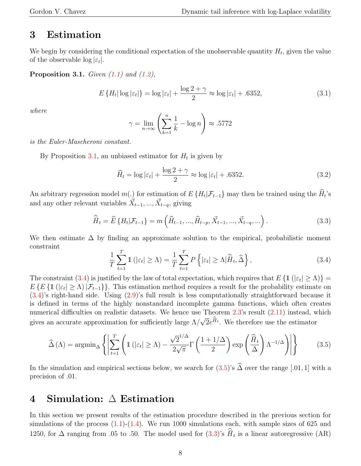## 3 Estimation

We begin by considering the conditional expectation of the unobservable quantity  $H_t$ , given the value of the observable  $\log |\varepsilon_t|$ .

**Proposition 3.1.** Given  $(1.1)$  and  $(1.2)$ ,

<span id="page-7-0"></span>
$$
E\left\{H_t|\log|\varepsilon_t|\right\} = \log|\varepsilon_t| + \frac{\log 2 + \gamma}{2} \approx \log|\varepsilon_t| + .6352,\tag{3.1}
$$

where

$$
\gamma = \lim_{n \to \infty} \left( \sum_{k=1}^{n} \frac{1}{k} - \log n \right) \approx .5772
$$

is the Euler-Mascheroni constant.

By Proposition [3.1,](#page-7-0) an unbiased estimator for  $H_t$  is given by

<span id="page-7-4"></span>
$$
\widehat{H}_t = \log|\varepsilon_t| + \frac{\log 2 + \gamma}{2} \approx \log|\varepsilon_t| + .6352. \tag{3.2}
$$

An arbitrary regression model  $m(.)$  for estimation of  $E\{H_t | \mathcal{F}_{t-1}\}$  may then be trained using the  $H_t$ 's and any other relevant variables  $\vec{X}_{t-1}, ..., \vec{X}_{t-q}$ , giving

<span id="page-7-3"></span>
$$
\widehat{\bar{H}}_t = \widehat{E} \left\{ H_t | \mathcal{F}_{t-1} \right\} = m \left( \widehat{H}_{t-1}, \dots, \widehat{H}_{t-p}, \vec{X}_{t-1}, \dots, \vec{X}_{t-q}, \dots \right). \tag{3.3}
$$

We then estimate  $\Delta$  by finding an approximate solution to the empirical, probabilistic moment constraint

<span id="page-7-1"></span>
$$
\frac{1}{T} \sum_{t=1}^{T} \mathbb{1} \left( |\varepsilon_t| \ge \Lambda \right) = \frac{1}{T} \sum_{t=1}^{T} P \left\{ |\varepsilon_t| \ge \Lambda | \widehat{H}_t, \widehat{\Delta} \right\},\tag{3.4}
$$

The constraint [\(3.4\)](#page-7-1) is justified by the law of total expectation, which requires that  $E\{\mathbb{1}\left(|\varepsilon_t|\geq\Lambda\right)\}=$  $E\{E\{1\right(\left|\varepsilon_t\right|\geq\Lambda)\,\left|\mathcal{F}_{t-1}\right\}\}\.$  This estimation method requires a result for the probability estimate on [\(3.4\)](#page-7-1)'s right-hand side. Using [\(2.9\)](#page-6-0)'s full result is less computationally straightforward because it is defined in terms of the highly nonstandard incomplete gamma functions, which often creates numerical difficulties on realistic datasets. We hence use Theorem [2.3'](#page-6-2)s result  $(2.11)$  instead, which gives an accurate approximation for sufficiently large  $\Lambda/$ √  $\bar{2}e^{\hat{H}_t}$ . We therefore use the estimator

<span id="page-7-2"></span>
$$
\widehat{\Delta}(\Lambda) = \operatorname{argmin}_{\Delta} \left\{ \left| \sum_{t=1}^{T} \left( \mathbb{1} \left( |\varepsilon_t| \ge \Lambda \right) - \frac{\sqrt{2}^{1/\Delta}}{2\sqrt{\pi}} \Gamma \left( \frac{1 + 1/\Delta}{2} \right) \exp \left( \frac{\widehat{\bar{H}}_t}{\Delta} \right) \Lambda^{-1/\Delta} \right) \right| \right\}
$$
(3.5)

In the simulation and empirical sections below, we search for  $(3.5)$ 's  $\widehat{\Delta}$  over the range [.01, 1] with a precision of .01.

## <span id="page-7-5"></span>4 Simulation: ∆ Estimation

In this section we present results of the estimation procedure described in the previous section for simulations of the process  $(1.1)-(1.4)$  $(1.1)-(1.4)$ . We run 1000 simulations each, with sample sizes of 625 and 1250, for  $\Delta$  ranging from .05 to .50. The model used for  $(3.3)$ 's  $\hat{H}_t$  is a linear autoregressive  $(AR)$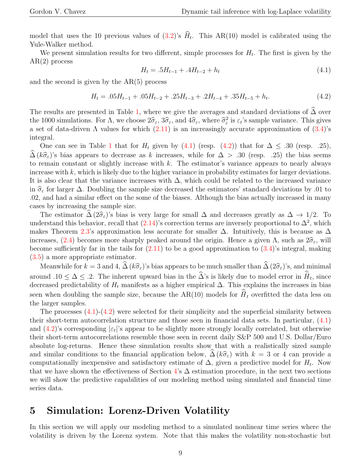model that uses the 10 previous values of  $(3.2)$ 's  $H_t$ . This AR(10) model is calibrated using the Yule-Walker method.

We present simulation results for two different, simple processes for  $H_t$ . The first is given by the AR(2) process

<span id="page-8-0"></span>
$$
H_t = .5H_{t-1} + .4H_{t-2} + h_t \tag{4.1}
$$

and the second is given by the  $AR(5)$  process

<span id="page-8-1"></span>
$$
H_t = .05H_{t-1} + .05H_{t-2} + .25H_{t-3} + .2H_{t-4} + .35H_{t-5} + h_t.
$$
\n
$$
(4.2)
$$

The results are presented in Table [1,](#page-9-0) where we give the averages and standard deviations of  $\Delta$  over the 1000 simulations. For  $\Lambda$ , we choose  $2\hat{\sigma}_{\varepsilon}$ ,  $3\hat{\sigma}_{\varepsilon}$ , and  $4\hat{\sigma}_{\varepsilon}$ , where  $\hat{\sigma}_{\varepsilon}^2$  is  $\varepsilon_t$ 's sample variance. This gives a set of data-driven  $\Lambda$  values for which  $(2.11)$  is an increasingly accurate approximation of  $(3.4)$ 's integral.

One can see in Table [1](#page-9-0) that for  $H_t$  given by [\(4.1\)](#page-8-0) (resp. [\(4.2\)](#page-8-1)) that for  $\Delta \leq .30$  (resp. .25),  $\Delta (k\hat{\sigma}_{\varepsilon})$ 's bias appears to decrease as k increases, while for  $\Delta > .30$  (resp. .25) the bias seems to remain constant or slightly increase with  $k$ . The estimator's variance appears to nearly always increase with  $k$ , which is likely due to the higher variance in probability estimates for larger deviations. It is also clear that the variance increases with  $\Delta$ , which could be related to the increased variance in  $\hat{\sigma}_{\varepsilon}$  for larger  $\Delta$ . Doubling the sample size decreased the estimators' standard deviations by .01 to .02, and had a similar effect on the some of the biases. Although the bias actually increased in many cases by increasing the sample size.

The estimator  $\widehat{\Delta}(2\widehat{\sigma}_{\varepsilon})$ 's bias is very large for small  $\Delta$  and decreases greatly as  $\Delta \to 1/2$ . To understand this behavior, recall that  $(2.14)$ 's correction terms are inversely proportional to  $\Delta^2$ , which makes Theorem [2.3'](#page-6-2)s approximation less accurate for smaller  $\Delta$ . Intuitively, this is because as  $\Delta$ increases, [\(2.4\)](#page-4-2) becomes more sharply peaked around the origin. Hence a given  $\Lambda$ , such as  $2\hat{\sigma}_{\varepsilon}$ , will become sufficiently far in the tails for  $(2.11)$  to be a good approximation to  $(3.4)$ 's integral, making [\(3.5\)](#page-7-2) a more appropriate estimator.

Meanwhile for  $k = 3$  and 4,  $\widehat{\Delta} (k \widehat{\sigma}_{\varepsilon})'$ 's bias appears to be much smaller than  $\widehat{\Delta} (2 \widehat{\sigma}_{\varepsilon})'$ 's, and minimal around  $.10 \leq \Delta \leq .2$ . The inherent upward bias in the  $\widehat{\Delta}$ 's is likely due to model error in  $\widehat{H}_t$ , since decreased predictability of  $H_t$  manifests as a higher empirical  $\Delta$ . This explains the increases in bias seen when doubling the sample size, because the AR(10) models for  $\widehat{H}_t$  overfitted the data less on the larger samples.

The processes  $(4.1)-(4.2)$  $(4.1)-(4.2)$  were selected for their simplicity and the superficial similarity between their short-term autocorrelation structure and those seen in financial data sets. In particular, [\(4.1\)](#page-8-0) and  $(4.2)$ 's corresponding  $|\varepsilon_t|$ 's appear to be slightly more strongly locally correlated, but otherwise their short-term autocorrelations resemble those seen in recent daily S&P 500 and U.S. Dollar/Euro absolute log-returns. Hence these simulation results show that with a realistically sized sample and similar conditions to the financial application below,  $\hat{\Delta}(k\hat{\sigma}_{\varepsilon})$  with  $k = 3$  or 4 can provide a computationally inexpensive and satisfactory estimate of  $\Delta$ , given a predictive model for  $H_t$ . Now that we have shown the effectiveness of Section [4'](#page-7-5)s  $\Delta$  estimation procedure, in the next two sections we will show the predictive capabilities of our modeling method using simulated and financial time series data.

### <span id="page-8-2"></span>5 Simulation: Lorenz-Driven Volatility

In this section we will apply our modeling method to a simulated nonlinear time series where the volatility is driven by the Lorenz system. Note that this makes the volatility non-stochastic but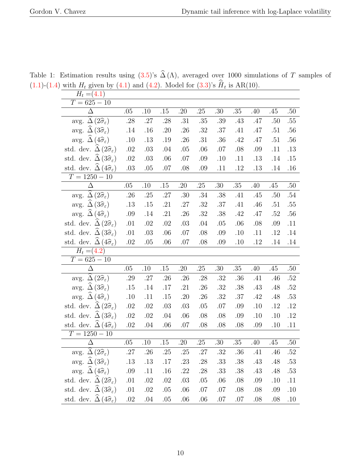<span id="page-9-0"></span>

| $\iota$ 5. $\circ$ . $\circ$ . $\prime$<br>$H_t = (4.1)$           |         |         |         | $\left( \text{inj and } \left( \text{inj}, \text{inj, } \right) \right)$ |                  |                  |         |     |         |         |
|--------------------------------------------------------------------|---------|---------|---------|--------------------------------------------------------------------------|------------------|------------------|---------|-----|---------|---------|
| $T = 625 - 10$                                                     |         |         |         |                                                                          |                  |                  |         |     |         |         |
| Δ                                                                  | .05     | .10     | $.15\,$ | .20                                                                      | $.25\,$          | $\overline{.}30$ | $.35\,$ | .40 | .45     | .50     |
| avg. $\Delta(2\widehat{\sigma}_{\varepsilon})$                     | .28     | $.27\,$ | .28     | .31                                                                      | $.35\,$          | .39              | .43     | .47 | .50     | $.55\,$ |
| avg. $\Delta(3\hat{\sigma}_{\varepsilon})$                         | .14     | .16     | .20     | .26                                                                      | .32              | .37              | .41     | .47 | .51     | .56     |
| avg. $\Delta(4\hat{\sigma}_{\varepsilon})$                         | .10     | .13     | .19     | .26                                                                      | .31              | .36              | .42     | .47 | .51     | .56     |
| std. dev. $\Delta(2\widehat{\sigma}_{\varepsilon})$                | .02     | .03     | .04     | .05                                                                      | .06              | .07              | .08     | .09 | .11     | .13     |
| std. dev. $\Delta (3\hat{\sigma}_{\varepsilon})$                   | .02     | .03     | .06     | .07                                                                      | .09              | .10              | .11     | .13 | .14     | .15     |
| std. dev. $\widehat{\Delta}$ (4 $\widehat{\sigma}_{\varepsilon}$ ) | .03     | .05     | .07     | .08                                                                      | .09              | .11              | .12     | .13 | .14     | .16     |
| $T = 1250 - 10$                                                    |         |         |         |                                                                          |                  |                  |         |     |         |         |
| $\Delta$                                                           | $.05\,$ | .10     | .15     | .20                                                                      | .25              | $.30\,$          | $.35\,$ | .40 | .45     | .50     |
| avg. $\Delta(2\hat{\sigma}_{\varepsilon})$                         | .26     | .25     | .27     | .30                                                                      | .34              | .38              | .41     | .45 | .50     | .54     |
| avg. $\Delta(3\hat{\sigma}_{\varepsilon})$                         | .13     | .15     | .21     | .27                                                                      | .32              | .37              | .41     | .46 | .51     | .55     |
| avg. $\widehat{\Delta}$ (4 $\widehat{\sigma}_{\varepsilon}$ )      | .09     | $.14\,$ | .21     | .26                                                                      | .32              | .38              | .42     | .47 | .52     | .56     |
| std. dev. $\Delta (2\hat{\sigma}_{\varepsilon})$                   | .01     | .02     | .02     | .03                                                                      | .04              | .05              | .06     | .08 | .09     | .11     |
| std. dev. $\Delta (3\hat{\sigma}_{\varepsilon})$                   | .01     | .03     | .06     | .07                                                                      | .08              | .09              | .10     | .11 | .12     | .14     |
| std. dev. $\widehat{\Delta}$ (4 $\widehat{\sigma}_{\varepsilon}$ ) | .02     | .05     | .06     | .07                                                                      | .08              | .09              | .10     | .12 | .14     | .14     |
| $H_t = (4.2)$                                                      |         |         |         |                                                                          |                  |                  |         |     |         |         |
| $T = 625 - 10$                                                     |         |         |         |                                                                          |                  |                  |         |     |         |         |
| $\overline{\Delta}$                                                | .05     | $.10\,$ | .15     | .20                                                                      | .25              | $.30\,$          | .35     | .40 | .45     | .50     |
| avg. $\Delta(2\hat{\sigma}_{\varepsilon})$                         | .29     | .27     | .26     | .26                                                                      | .28              | .32              | .36     | .41 | .46     | .52     |
| avg. $\widehat{\Delta}$ (3 $\widehat{\sigma}_{\varepsilon}$ )      | .15     | .14     | .17     | .21                                                                      | .26              | .32              | .38     | .43 | .48     | .52     |
| avg. $\Delta(4\hat{\sigma}_{\varepsilon})$                         | .10     | .11     | .15     | .20                                                                      | .26              | .32              | .37     | .42 | $.48\,$ | $.53\,$ |
| std. dev. $\widehat{\Delta}(2\widehat{\sigma}_{\varepsilon})$      | .02     | .02     | .03     | .03                                                                      | .05              | .07              | .09     | .10 | .12     | .12     |
| std. dev. $\Delta(3\hat{\sigma}_{\varepsilon})$                    | .02     | .02     | .04     | .06                                                                      | .08              | .08              | .09     | .10 | .10     | .12     |
| std. dev. $\Delta \left(4\hat{\sigma}_{\varepsilon}\right)$        | .02     | .04     | .06     | .07                                                                      | .08              | .08              | .08     | .09 | .10     | .11     |
| $T = 1250 - 10$                                                    |         |         |         |                                                                          |                  |                  |         |     |         |         |
| $\Delta$                                                           | .05     | .10     | .15     | .20                                                                      | $\overline{.}25$ | $\overline{.}30$ | $.35\,$ | .40 | .45     | .50     |
| avg. $\widehat{\Delta}(2\widehat{\sigma}_{\varepsilon})$           | .27     | $.26\,$ | .25     | .25                                                                      | $.27\,$          | .32              | $.36\,$ | .41 | .46     | $.52\,$ |
| avg. $\widehat{\Delta}$ (3 $\widehat{\sigma}_{\varepsilon}$ )      | .13     | .13     | .17     | .23                                                                      | .28              | .33              | .38     | .43 | .48     | .53     |
| avg. $\Delta (4\hat{\sigma}_{\varepsilon})$                        | .09     | .11     | .16     | .22                                                                      | .28              | .33              | .38     | .43 | .48     | .53     |
| std. dev. $\Delta(2\hat{\sigma}_{\varepsilon})$                    | .01     | .02     | .02     | .03                                                                      | .05              | .06              | .08     | .09 | .10     | .11     |
| std. dev. $\Delta(3\hat{\sigma}_{\varepsilon})$                    | .01     | .02     | .05     | .06                                                                      | .07              | .07              | .08     | .08 | .09     | .10     |
| std. dev. $\Delta \left(4\hat{\sigma}_{\varepsilon}\right)$        | .02     | .04     | .05     | .06                                                                      | .06              | .07              | .07     | .08 | .08     | .10     |

Table 1: Estimation results using  $(3.5)$ 's  $\widehat{\Delta}(\Lambda)$ , averaged over 1000 simulations of T samples of  $(1.1)-(1.4)$  $(1.1)-(1.4)$  $(1.1)-(1.4)$  with  $H_t$  given by  $(4.1)$  and  $(4.2)$ . Model for  $(3.3)$ 's  $\widehat{H}_t$  is AR(10).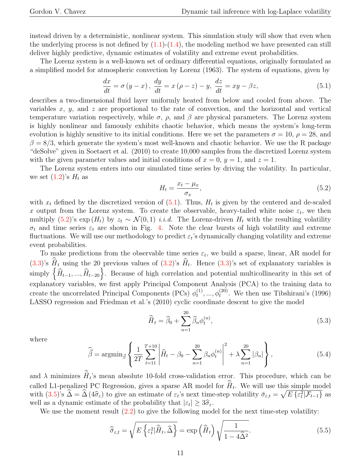instead driven by a deterministic, nonlinear system. This simulation study will show that even when the underlying process is not defined by  $(1.1)-(1.4)$  $(1.1)-(1.4)$ , the modeling method we have presented can still deliver highly predictive, dynamic estimates of volatility and extreme event probabilities.

The Lorenz system is a well-known set of ordinary differential equations, originally formulated as a simplified model for atmospheric convection by Lorenz (1963). The system of equations, given by

<span id="page-10-0"></span>
$$
\frac{dx}{dt} = \sigma(y - x), \quad \frac{dy}{dt} = x(\rho - z) - y, \quad \frac{dz}{dt} = xy - \beta z,
$$
\n(5.1)

describes a two-dimensional fluid layer uniformly heated from below and cooled from above. The variables  $x, y$ , and  $z$  are proportional to the rate of convection, and the horizontal and vertical temperature variation respectively, while  $\sigma$ ,  $\rho$ , and  $\beta$  are physical parameters. The Lorenz system is highly nonlinear and famously exhibits chaotic behavior, which means the system's long-term evolution is highly sensitive to its initial conditions. Here we set the parameters  $\sigma = 10$ ,  $\rho = 28$ , and  $\beta = 8/3$ , which generate the system's most well-known and chaotic behavior. We use the R package "deSolve" given in Soetaert et al. (2010) to create 10,000 samples from the discretized Lorenz system with the given parameter values and initial conditions of  $x = 0, y = 1$ , and  $z = 1$ .

The Lorenz system enters into our simulated time series by driving the volatility. In particular, we set  $(1.2)$ 's  $H_t$  as

<span id="page-10-1"></span>
$$
H_t = \frac{x_t - \mu_x}{\sigma_x},\tag{5.2}
$$

with  $x_t$  defined by the discretized version of  $(5.1)$ . Thus,  $H_t$  is given by the centered and de-scaled x output from the Lorenz system. To create the observable, heavy-tailed white noise  $\varepsilon_t$ , we then multiply [\(5.2\)](#page-10-1)'s exp  $(H_t)$  by  $z_t \sim \mathcal{N}(0, 1)$  *i.i.d.* The Lorenz-driven  $H_t$  with the resulting volatility  $\sigma_t$  and time series  $\varepsilon_t$  are shown in Fig. [4.](#page-11-0) Note the clear bursts of high volatility and extreme fluctuations. We will use our methodology to predict  $\varepsilon_t$ 's dynamically changing volatility and extreme event probabilities.

To make predictions from the observable time series  $\varepsilon_t$ , we build a sparse, linear, AR model for  $(3.3)$ 's  $\hat{H}_t$  using the 20 previous values of  $(3.2)$ 's  $\hat{H}_t$ . Hence  $(3.3)$ 's set of explanatory variables is simply  $\left\{\widehat{H}_{t-1}, ..., \widehat{H}_{t-20}\right\}$ . Because of high correlation and potential multicollinearity in this set of explanatory variables, we first apply Principal Component Analysis (PCA) to the training data to create the uncorrelated Principal Components (PCs)  $\phi_t^{(1)}$  $t<sub>t</sub><sup>(1)</sup>, ..., \phi<sub>t</sub><sup>(20)</sup>$ . We then use Tibshirani's (1996) LASSO regression and Friedman et al.'s (2010) cyclic coordinate descent to give the model

<span id="page-10-3"></span>
$$
\widehat{\overline{H}}_t = \widehat{\beta}_0 + \sum_{n=1}^{20} \widehat{\beta}_n \phi_t^{(n)},\tag{5.3}
$$

where

<span id="page-10-4"></span>
$$
\hat{\vec{\beta}} = \operatorname{argmin}_{\vec{\beta}} \left\{ \frac{1}{2T} \sum_{t=11}^{T+10} \left| \hat{H}_t - \beta_0 - \sum_{n=1}^{20} \beta_n \phi_t^{(n)} \right|^2 + \lambda \sum_{n=1}^{20} |\beta_n| \right\},\tag{5.4}
$$

and  $\lambda$  minimizes  $\hat{H}_t$ 's mean absolute 10-fold cross-validation error. This procedure, which can be called L1-penalized PC Regression, gives a sparse AR model for  $\hat{H}_t$ . We will use this simple model with  $(3.5)$ 's  $\widehat{\Delta} = \widehat{\Delta} (4\widehat{\sigma}_{\varepsilon})$  to give an estimate of  $\varepsilon_t$ 's next time-step volatility  $\overline{\sigma}_{\varepsilon,t} = \sqrt{E \{\varepsilon_t^2 | \mathcal{F}_{t-1}\}}$  as well as a dynamic estimate of the probability that  $|\varepsilon_t| \geq 3\hat{\sigma}_{\varepsilon}$ .<br>We use the moment result  $(2, 2)$  to give the following mode

We use the moment result  $(2.2)$  to give the following model for the next time-step volatility:

<span id="page-10-2"></span>
$$
\widehat{\overline{\sigma}}_{\varepsilon,t} = \sqrt{E\left\{\varepsilon_t^2 | \widehat{\overline{H}}_t, \widehat{\Delta}\right\}} = \exp\left(\widehat{\overline{H}}_t\right) \sqrt{\frac{1}{1 - 4\widehat{\Delta}^2}}.\tag{5.5}
$$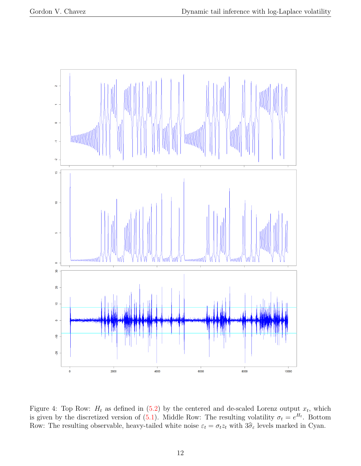

<span id="page-11-0"></span>Figure 4: Top Row:  $H_t$  as defined in [\(5.2\)](#page-10-1) by the centered and de-scaled Lorenz output  $x_t$ , which is given by the discretized version of  $(5.1)$ . Middle Row: The resulting volatility  $\sigma_t = e^{H_t}$ . Bottom Row: The resulting observable, heavy-tailed white noise  $\varepsilon_t = \sigma_t z_t$  with  $3\hat{\sigma}_{\varepsilon}$  levels marked in Cyan.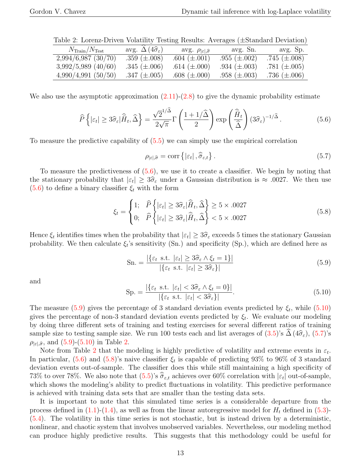| $N_{\rm Train}/N_{\rm Test}$ | avg. $\Delta(4\hat{\sigma}_{\varepsilon})$ | avg. $\rho_{\left \varepsilon\right ,\widehat{\sigma}}$ | avg. Sn.          | avg. Sp.          |
|------------------------------|--------------------------------------------|---------------------------------------------------------|-------------------|-------------------|
| 2,994/6,987(30/70)           | .359 $(\pm .008)$                          | $.604~(\pm .001)$                                       | .955 $(\pm .002)$ | .745 $(\pm .008)$ |
| $3,992/5,989$ (40/60)        | .345 $(\pm .006)$                          | .614 $(\pm .000)$                                       | .934 $(\pm .003)$ | .781 $(\pm .005)$ |
| $4,990/4,991$ (50/50)        | .347 $(\pm .005)$                          | .608 $(\pm .000)$                                       | .958 $(\pm .003)$ | .736 $(\pm .006)$ |

<span id="page-12-4"></span>Table 2: Lorenz-Driven Volatility Testing Results: Averages (±Standard Deviation)

We also use the asymptotic approximation  $(2.11)-(2.8)$  $(2.11)-(2.8)$  to give the dynamic probability estimate

<span id="page-12-0"></span>
$$
\widehat{P}\left\{|\varepsilon_t| \ge 3\widehat{\sigma}_{\varepsilon}|\widehat{\bar{H}}_t, \widehat{\Delta}\right\} = \frac{\sqrt{2}^{1/\widehat{\Delta}}}{2\sqrt{\pi}}\Gamma\left(\frac{1+1/\widehat{\Delta}}{2}\right)\exp\left(\frac{\widehat{\bar{H}}_t}{\widehat{\Delta}}\right)(3\widehat{\sigma}_{\varepsilon})^{-1/\widehat{\Delta}}.\tag{5.6}
$$

To measure the predictive capability of [\(5.5\)](#page-10-2) we can simply use the empirical correlation

<span id="page-12-3"></span>
$$
\rho_{|\varepsilon|,\widehat{\sigma}} = \text{corr}\left\{|\varepsilon_t| \,, \widehat{\widehat{\sigma}}_{\varepsilon,t}\right\}.
$$
\n
$$
(5.7)
$$

To measure the predictiveness of [\(5.6\)](#page-12-0), we use it to create a classifier. We begin by noting that the stationary probability that  $|\varepsilon_t| \geq 3\hat{\sigma}_{\varepsilon}$  under a Gaussian distribution is  $\approx .0027$ . We then use [\(5.6\)](#page-12-0) to define a binary classifier  $\xi_t$  with the form

<span id="page-12-5"></span>
$$
\xi_t = \begin{cases} 1; & \widehat{P}\left\{|\varepsilon_t| \ge 3\widehat{\sigma}_{\varepsilon}|\widehat{H}_t, \widehat{\Delta}\right\} \ge 5 \times .0027\\ 0; & \widehat{P}\left\{|\varepsilon_t| \ge 3\widehat{\sigma}_{\varepsilon}|\widehat{H}_t, \widehat{\Delta}\right\} < 5 \times .0027 \end{cases}
$$
(5.8)

Hence  $\xi_t$  identifies times when the probability that  $|\varepsilon_t| \geq 3\hat{\sigma}_{\varepsilon}$  exceeds 5 times the stationary Gaussian<br>probability. We then calculate  $\xi$ 's sonsitivity (Sp) and specificity (Sp), which are defined here as probability. We then calculate  $\xi_i$ 's sensitivity (Sn.) and specificity (Sp.), which are defined here as

<span id="page-12-1"></span>
$$
\text{Sn.} = \frac{|\{\varepsilon_t \text{ s.t. } |\varepsilon_t| \ge 3\hat{\sigma}_{\varepsilon} \wedge \xi_t = 1\}|}{|\{\varepsilon_t \text{ s.t. } |\varepsilon_t| \ge 3\hat{\sigma}_{\varepsilon}\}|}\tag{5.9}
$$

and

<span id="page-12-2"></span>
$$
\text{Sp.} = \frac{|\{\varepsilon_t \text{ s.t. } |\varepsilon_t| < 3\hat{\sigma}_{\varepsilon} \land \xi_t = 0\}|}{|\{\varepsilon_t \text{ s.t. } |\varepsilon_t| < 3\hat{\sigma}_{\varepsilon}\}|}.\tag{5.10}
$$

The measure  $(5.9)$  gives the percentage of 3 standard deviation events predicted by  $\xi_t$ , while  $(5.10)$ gives the percentage of non-3 standard deviation events predicted by  $\xi_t$ . We evaluate our modeling by doing three different sets of training and testing exercises for several different ratios of training sample size to testing sample size. We run 100 tests each and list averages of  $(3.5)$ 's  $\Delta (4\hat{\sigma}_{\epsilon})$ ,  $(5.7)$ 's  $\rho_{\mid \varepsilon\mid, \widehat{\sigma}}$ , and [\(5.9\)](#page-12-1)-[\(5.10\)](#page-12-2) in Table [2.](#page-12-4)

Note from Table [2](#page-12-4) that the modeling is highly predictive of volatility and extreme events in  $\varepsilon_t$ . In particular,  $(5.6)$  and  $(5.8)$ 's naive classifier  $\xi_t$  is capable of predicting 93% to 96% of 3 standard deviation events out-of-sample. The classifier does this while still maintaining a high specificity of 73% to over 78%. We also note that  $(5.5)$ 's  $\widehat{\sigma}_{\varepsilon,t}$  achieves over 60% correlation with  $|\varepsilon_t|$  out-of-sample, which shows the modeling's ability to predict fluctuations in volatility. This predictive performance is achieved with training data sets that are smaller than the testing data sets.

It is important to note that this simulated time series is a considerable departure from the process defined in  $(1.1)-(1.4)$  $(1.1)-(1.4)$ , as well as from the linear autoregressive model for  $H_t$  defined in  $(5.3)$ -[\(5.4\)](#page-10-4). The volatility in this time series is not stochastic, but is instead driven by a deterministic, nonlinear, and chaotic system that involves unobserved variables. Nevertheless, our modeling method can produce highly predictive results. This suggests that this methodology could be useful for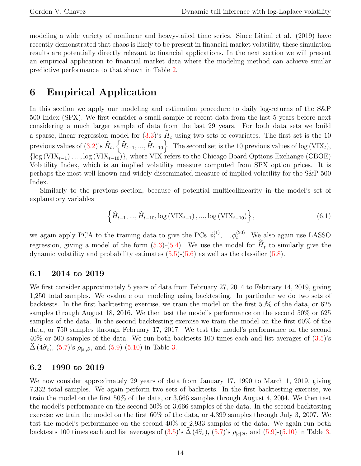modeling a wide variety of nonlinear and heavy-tailed time series. Since Litimi et al. (2019) have recently demonstrated that chaos is likely to be present in financial market volatility, these simulation results are potentially directly relevant to financial applications. In the next section we will present an empirical application to financial market data where the modeling method can achieve similar predictive performance to that shown in Table [2.](#page-12-4)

## <span id="page-13-0"></span>6 Empirical Application

In this section we apply our modeling and estimation procedure to daily log-returns of the S&P 500 Index (SPX). We first consider a small sample of recent data from the last 5 years before next considering a much larger sample of data from the last 29 years. For both data sets we build a sparse, linear regression model for  $(3.3)$ 's  $\hat{H}_t$  using two sets of covariates. The first set is the 10 previous values of  $(3.2)$ 's  $\widehat{H}_t$ ,  $\left\{\widehat{H}_{t-1},...,\widehat{H}_{t-10}\right\}$ . The second set is the 10 previous values of log (VIX<sub>t</sub>),  ${\log (VIX_{t-1}), ..., \log (VIX_{t-10})}$ , where VIX refers to the Chicago Board Options Exchange (CBOE) Volatility Index, which is an implied volatility measure computed from SPX option prices. It is perhaps the most well-known and widely disseminated measure of implied volatility for the S&P 500 Index.

Similarly to the previous section, because of potential multicollinearity in the model's set of explanatory variables

$$
\left\{\widehat{H}_{t-1}, ..., \widehat{H}_{t-10}, \log\left(\text{VIX}_{t-1}\right), ..., \log\left(\text{VIX}_{t-10}\right)\right\},\tag{6.1}
$$

we again apply PCA to the training data to give the PCs  $\phi_t^{(1)}$  $t<sub>t</sub><sup>(1)</sup>, ..., \phi_t<sup>(20)</sup>$ . We also again use LASSO regression, giving a model of the form  $(5.3)-(5.4)$  $(5.3)-(5.4)$ . We use the model for  $\hat{H}_t$  to similarly give the dynamic volatility and probability estimates  $(5.5)-(5.6)$  $(5.5)-(5.6)$  as well as the classifier  $(5.8)$ .

#### 6.1 2014 to 2019

We first consider approximately 5 years of data from February 27, 2014 to February 14, 2019, giving 1,250 total samples. We evaluate our modeling using backtesting. In particular we do two sets of backtests. In the first backtesting exercise, we train the model on the first 50% of the data, or 625 samples through August 18, 2016. We then test the model's performance on the second 50% or 625 samples of the data. In the second backtesting exercise we train the model on the first 60% of the data, or 750 samples through February 17, 2017. We test the model's performance on the second  $40\%$  or 500 samples of the data. We run both backtests 100 times each and list averages of  $(3.5)$ 's  $\widehat{\Delta}$  (4 $\widehat{\sigma}_{\varepsilon}$ ), [\(5.7\)](#page-12-3)'s  $\rho_{|\varepsilon|,\widehat{\sigma}}$ , and [\(5.9\)](#page-12-1)-[\(5.10\)](#page-12-2) in Table [3.](#page-14-0)

#### 6.2 1990 to 2019

We now consider approximately 29 years of data from January 17, 1990 to March 1, 2019, giving 7,332 total samples. We again perform two sets of backtests. In the first backtesting exercise, we train the model on the first 50% of the data, or 3,666 samples through August 4, 2004. We then test the model's performance on the second 50% or 3,666 samples of the data. In the second backtesting exercise we train the model on the first 60% of the data, or 4,399 samples through July 3, 2007. We test the model's performance on the second 40% or 2,933 samples of the data. We again run both backtests 100 times each and list averages of  $(3.5)$  $(3.5)$  $(3.5)$ 's  $\Delta (4\hat{\sigma}_{\varepsilon})$ ,  $(5.7)$ 's  $\rho_{|\varepsilon|,\hat{\sigma}}$ , and  $(5.9)$ - $(5.10)$  in Table 3.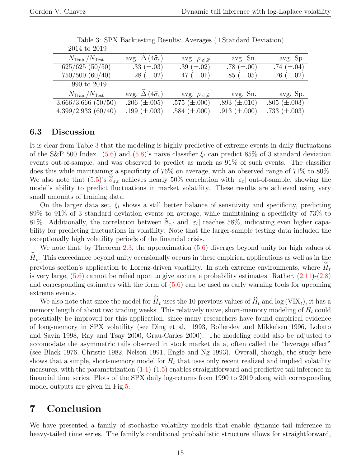| 2014 to 2019                       |                                            |                                              |                   |                   |
|------------------------------------|--------------------------------------------|----------------------------------------------|-------------------|-------------------|
| $N_{\text{Train}}/N_{\text{Test}}$ | avg. $\Delta(4\hat{\sigma}_{\varepsilon})$ | avg. $\rho_{ \varepsilon ,\widehat{\sigma}}$ | avg. Sn.          | avg. Sp.          |
| 625/625(50/50)                     | .33 $(\pm .03)$                            | .39 $(\pm .02)$                              | .78 $(\pm .00)$   | .74 $(\pm .04)$   |
| 750/500(60/40)                     | .28 $(\pm .02)$                            | .47 $(\pm .01)$                              | .85 $(\pm .05)$   | .76 $(\pm .02)$   |
| 1990 to 2019                       |                                            |                                              |                   |                   |
| $N_{\text{Train}}/N_{\text{Test}}$ | avg. $\Delta(4\hat{\sigma}_{\varepsilon})$ | avg. $\rho_{ \varepsilon ,\widehat{\sigma}}$ | avg. Sn.          | avg. Sp.          |
| $3,666/3,666$ $(50/50)$            | .206 $(\pm .005)$                          | .575 $(\pm .000)$                            | .893 $(\pm .010)$ | .805 $(\pm .003)$ |
| 4,399/2,933(60/40)                 | .199 $(\pm .003)$                          | .584 $(\pm .000)$                            | .913 $(\pm .000)$ | .733 $(\pm .003)$ |

<span id="page-14-0"></span>Table 3: SPX Backtesting Results: Averages (±Standard Deviation)

### 6.3 Discussion

It is clear from Table [3](#page-14-0) that the modeling is highly predictive of extreme events in daily fluctuations of the S&P 500 Index. [\(5.6\)](#page-12-0) and [\(5.8\)](#page-12-5)'s naive classifier  $\xi_t$  can predict 85% of 3 standard deviation events out-of-sample, and was observed to predict as much as 91% of such events. The classifier does this while maintaining a specificity of 76% on average, with an observed range of 71% to 80%. We also note that  $(5.5)$ 's  $\hat{\sigma}_{\varepsilon,t}$  achieves nearly 50% correlation with  $|\varepsilon_t|$  out-of-sample, showing the model's ability to predict fluctuations in market volatility. These results are achieved using very small amounts of training data.

On the larger data set,  $\xi_t$  shows a still better balance of sensitivity and specificity, predicting 89% to 91% of 3 standard deviation events on average, while maintaining a specificity of 73% to 81%. Additionally, the correlation between  $\hat{\sigma}_{\varepsilon,t}$  and  $|\varepsilon_t|$  reaches 58%, indicating even higher capa-<br>hilitar for anothering fluctuations in calculity. Note that the lange council testing data included the bility for predicting fluctuations in volatility. Note that the larger-sample testing data included the exceptionally high volatility periods of the financial crisis.

We note that, by Theorem [2.3,](#page-6-2) the approximation  $(5.6)$  diverges beyond unity for high values of  $\widehat{H}_t$ . This exceedance beyond unity occasionally occurs in these empirical applications as well as in the previous section's application to Lorenz-driven volatility. In such extreme environments, where  $\hat{H}_t$ is very large,  $(5.6)$  cannot be relied upon to give accurate probability estimates. Rather,  $(2.11)-(2.8)$  $(2.11)-(2.8)$ and corresponding estimates with the form of  $(5.6)$  can be used as early warning tools for upcoming extreme events.

We also note that since the model for  $\hat{H}_t$  uses the 10 previous values of  $\hat{H}_t$  and log (VIX<sub>t</sub>), it has a memory length of about two trading weeks. This relatively naive, short-memory modeling of  $H_t$  could potentially be improved for this application, since many researchers have found empirical evidence of long-memory in SPX volatility (see Ding et al. 1993, Bollerslev and Mikkelsen 1996, Lobato and Savin 1998, Ray and Tsay 2000, Grau-Carles 2000). The modeling could also be adjusted to accomodate the asymmetric tails observed in stock market data, often called the "leverage effect" (see Black 1976, Christie 1982, Nelson 1991, Engle and Ng 1993). Overall, though, the study here shows that a simple, short-memory model for  $H_t$  that uses only recent realized and implied volatility measures, with the parametrization  $(1.1)-(1.5)$  $(1.1)-(1.5)$  enables straightforward and predictive tail inference in financial time series. Plots of the SPX daily log-returns from 1990 to 2019 along with corresponding model outputs are given in Fig[.5.](#page-15-0)

## 7 Conclusion

We have presented a family of stochastic volatility models that enable dynamic tail inference in heavy-tailed time series. The family's conditional probabilistic structure allows for straightforward,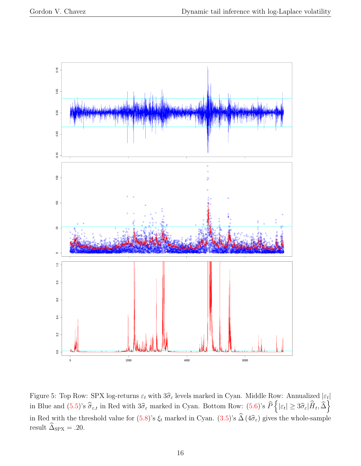![](_page_15_Figure_2.jpeg)

<span id="page-15-0"></span>Figure 5: Top Row: SPX log-returns  $\varepsilon_t$  with  $3\hat{\sigma}_{\varepsilon}$  levels marked in Cyan. Middle Row: Annualized  $|\varepsilon_t|$ <br> $\hat{\sigma}_{\varepsilon}$  is a contract in Cyan. The contract in Cyan.  $\hat{\sigma}_{\varepsilon}$  is a contract in Cyan. in Blue and  $(5.5)$ 's  $\hat{\bar{\sigma}}_{\varepsilon,t}$  in Red with  $3\hat{\sigma}_{\varepsilon}$  marked in Cyan. Bottom Row:  $(5.6)$ 's  $\hat{P}\left\{|\varepsilon_t| \geq 3\hat{\sigma}_{\varepsilon}|\hat{H}_t, \hat{\Delta}\right\}$ in Red with the threshold value for  $(5.8)$ 's  $\xi_t$  marked in Cyan.  $(3.5)$ 's  $\Delta (4\hat{\sigma}_{\varepsilon})$  gives the whole-sample result  $\widehat{\Delta}_{\mathrm{SPX}} = .20.$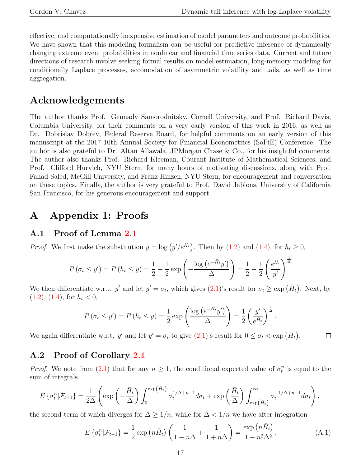effective, and computationally inexpensive estimation of model parameters and outcome probabilities. We have shown that this modeling formalism can be useful for predictive inference of dynamically changing extreme event probabilities in nonlinear and financial time series data. Current and future directions of research involve seeking formal results on model estimation, long-memory modeling for conditionally Laplace processes, accomodation of asymmetric volatility and tails, as well as time aggregation.

## Acknowledgements

The author thanks Prof. Gennady Samorodnitsky, Cornell University, and Prof. Richard Davis, Columbia University, for their comments on a very early version of this work in 2016, as well as Dr. Dobrislav Dobrev, Federal Reserve Board, for helpful comments on an early version of this manuscript at the 2017 10th Annual Society for Financial Econometrics (SoFiE) Conference. The author is also grateful to Dr. Altan Allawala, JPMorgan Chase & Co., for his insightful comments. The author also thanks Prof. Richard Kleeman, Courant Institute of Mathematical Sciences, and Prof. Clifford Hurvich, NYU Stern, for many hours of motivating discussions, along with Prof. Fahad Saled, McGill University, and Franz Hinzen, NYU Stern, for encouragement and conversation on these topics. Finally, the author is very grateful to Prof. David Jablons, University of California San Francisco, for his generous encouragement and support.

## A Appendix 1: Proofs

### A.1 Proof of Lemma [2.1](#page-2-3)

*Proof.* We first make the substitution  $y = \log (y'/e^{\bar{H}_t})$ . Then by [\(1.2\)](#page-1-1) and [\(1.4\)](#page-2-0), for  $h_t \ge 0$ ,

$$
P(\sigma_t \le y') = P(h_t \le y) = \frac{1}{2} - \frac{1}{2} \exp\left(-\frac{\log(e^{-\bar{H}_t}y')}{\Delta}\right) = \frac{1}{2} - \frac{1}{2} \left(\frac{e^{\bar{H}_t}}{y'}\right)^{\frac{1}{\Delta}}
$$

We then differentiate w.r.t. y' and let  $y' = \sigma_t$ , which gives  $(2.1)$ 's result for  $\sigma_t \geq \exp(\bar{H}_t)$ . Next, by  $(1.2), (1.4),$  $(1.2), (1.4),$  $(1.2), (1.4),$  $(1.2), (1.4),$  for  $h_t < 0$ ,

$$
P(\sigma_t \le y') = P(h_t \le y) = \frac{1}{2} \exp\left(\frac{\log\left(e^{-\tilde{H}_t}y'\right)}{\Delta}\right) = \frac{1}{2}\left(\frac{y'}{e^{\tilde{H}_t}}\right)^{\frac{1}{\Delta}}.
$$

We again differentiate w.r.t. y' and let  $y' = \sigma_t$  to give  $(2.1)$ 's result for  $0 \le \sigma_t < \exp(\bar{H}_t)$ .  $\Box$ 

### A.2 Proof of Corollary [2.1](#page-4-1)

*Proof.* We note from  $(2.1)$  that for any  $n \geq 1$ , the conditional expected value of  $\sigma_t^n$  is equal to the sum of integrals

$$
E\left\{\sigma_t^n|\mathcal{F}_{t-1}\right\} = \frac{1}{2\Delta} \left( \exp\left(-\frac{\bar{H}_t}{\Delta}\right) \int_0^{\exp(\bar{H}_t)} \sigma_t^{1/\Delta+n-1} d\sigma_t + \exp\left(\frac{\bar{H}_t}{\Delta}\right) \int_{\exp(\bar{H}_t)}^{\infty} \sigma_t^{-1/\Delta+n-1} d\sigma_t \right),
$$

the second term of which diverges for  $\Delta \geq 1/n$ , while for  $\Delta < 1/n$  we have after integration

<span id="page-16-0"></span>
$$
E\left\{\sigma_t^n|\mathcal{F}_{t-1}\right\} = \frac{1}{2}\exp\left(n\bar{H}_t\right)\left(\frac{1}{1-n\Delta} + \frac{1}{1+n\Delta}\right) = \frac{\exp\left(n\bar{H}_t\right)}{1-n^2\Delta^2},\tag{A.1}
$$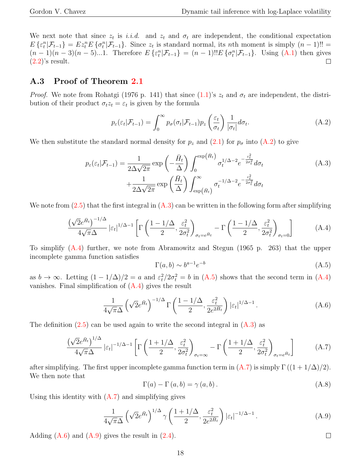We next note that since  $z_t$  is i.i.d. and  $z_t$  and  $\sigma_t$  are independent, the conditional expectation  $E\{\varepsilon_t^n|\mathcal{F}_{t-1}\}=Ez_t^nE\{\sigma_t^n|\mathcal{F}_{t-1}\}.$  Since  $z_t$  is standard normal, its nth moment is simply  $(n-1)!!$  =  $(n-1)(n-3)(n-5)...1$ . Therefore  $E\{\varepsilon_t^n | \mathcal{F}_{t-1}\} = (n-1)!E\{\sigma_t^n | \mathcal{F}_{t-1}\}$ . Using [\(A.1\)](#page-16-0) then gives  $(2.2)$ 's result.  $\Box$ 

### A.3 Proof of Theorem [2.1](#page-4-3)

*Proof.* We note from Rohatgi (1976 p. 141) that since  $(1.1)$ 's  $z_t$  and  $\sigma_t$  are independent, the distribution of their product  $\sigma_t z_t = \varepsilon_t$  is given by the formula

<span id="page-17-0"></span>
$$
p_{\varepsilon}(\varepsilon_t|\mathcal{F}_{t-1}) = \int_0^\infty p_{\sigma}(\sigma_t|\mathcal{F}_{t-1})p_z\left(\frac{\varepsilon_t}{\sigma_t}\right) \frac{1}{|\sigma_t|} d\sigma_t.
$$
 (A.2)

We then substitute the standard normal density for  $p_z$  and [\(2.1\)](#page-2-3) for  $p_\sigma$  into [\(A.2\)](#page-17-0) to give

<span id="page-17-1"></span>
$$
p_{\varepsilon}(\varepsilon_t|\mathcal{F}_{t-1}) = \frac{1}{2\Delta\sqrt{2\pi}} \exp\left(-\frac{\bar{H}_t}{\Delta}\right) \int_0^{\exp(\bar{H}_t)} \sigma_t^{1/\Delta - 2} e^{-\frac{\varepsilon_t^2}{2\sigma_t^2}} d\sigma_t + \frac{1}{2\Delta\sqrt{2\pi}} \exp\left(\frac{\bar{H}_t}{\Delta}\right) \int_{\exp(\bar{H}_t)}^{\infty} \sigma_t^{-1/\Delta - 2} e^{-\frac{\varepsilon_t^2}{2\sigma_t^2}} d\sigma_t \tag{A.3}
$$

We note from  $(2.5)$  that the first integral in  $(A.3)$  can be written in the following form after simplifying

<span id="page-17-2"></span>
$$
\frac{\left(\sqrt{2}e^{\bar{H}_t}\right)^{-1/\Delta}}{4\sqrt{\pi}\Delta} \left|\varepsilon_t\right|^{1/\Delta-1} \left[\Gamma\left(\frac{1-1/\Delta}{2}, \frac{\varepsilon_t^2}{2\sigma_t^2}\right)_{\sigma_t=e^{\bar{H}_t}} - \Gamma\left(\frac{1-1/\Delta}{2}, \frac{\varepsilon_t^2}{2\sigma_t^2}\right)_{\sigma_t=0}\right]
$$
(A.4)

To simplify [\(A.4\)](#page-17-2) further, we note from Abramowitz and Stegun (1965 p. 263) that the upper incomplete gamma function satisfies

<span id="page-17-3"></span>
$$
\Gamma(a,b) \sim b^{a-1} e^{-b} \tag{A.5}
$$

as  $b \to \infty$ . Letting  $(1 - 1/\Delta)/2 = a$  and  $\varepsilon_t^2/2\sigma_t^2 = b$  in  $(A.5)$  shows that the second term in  $(A.4)$ vanishes. Final simplification of  $(A.4)$  gives the result

<span id="page-17-5"></span>
$$
\frac{1}{4\sqrt{\pi}\Delta} \left(\sqrt{2}e^{\bar{H}_t}\right)^{-1/\Delta} \Gamma\left(\frac{1-1/\Delta}{2}, \frac{\varepsilon_t^2}{2e^{2\bar{H}_t}}\right) |\varepsilon_t|^{1/\Delta - 1}.
$$
\n(A.6)

The definition  $(2.5)$  can be used again to write the second integral in  $(A.3)$  as

<span id="page-17-4"></span>
$$
\frac{\left(\sqrt{2}e^{\bar{H}_t}\right)^{1/\Delta}}{4\sqrt{\pi}\Delta} \left|\varepsilon_t\right|^{-1/\Delta-1} \left[\Gamma\left(\frac{1+1/\Delta}{2}, \frac{\varepsilon_t^2}{2\sigma_t^2}\right)_{\sigma_t=\infty} - \Gamma\left(\frac{1+1/\Delta}{2}, \frac{\varepsilon_t^2}{2\sigma_t^2}\right)_{\sigma_t=e^{\bar{H}_t}}\right] \tag{A.7}
$$

after simplifying. The first upper incomplete gamma function term in  $(A.7)$  is simply  $\Gamma((1 + 1/\Delta)/2)$ . We then note that

<span id="page-17-7"></span>
$$
\Gamma(a) - \Gamma(a, b) = \gamma(a, b). \tag{A.8}
$$

Using this identity with  $(A.7)$  and simplifying gives

<span id="page-17-6"></span>
$$
\frac{1}{4\sqrt{\pi}\Delta} \left(\sqrt{2}e^{\bar{H}_t}\right)^{1/\Delta} \gamma \left(\frac{1+1/\Delta}{2}, \frac{\varepsilon_t^2}{2e^{2\bar{H}_t}}\right) |\varepsilon_t|^{-1/\Delta - 1}.
$$
\n(A.9)

Adding  $(A.6)$  and  $(A.9)$  gives the result in  $(2.4)$ .

 $\Box$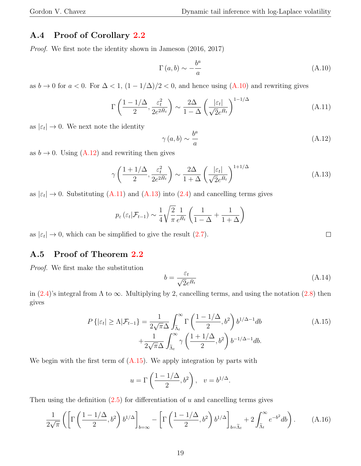### A.4 Proof of Corollary [2.2](#page-4-6)

Proof. We first note the identity shown in Jameson (2016, 2017)

<span id="page-18-0"></span>
$$
\Gamma(a,b) \sim -\frac{b^a}{a} \tag{A.10}
$$

as  $b \to 0$  for  $a < 0$ . For  $\Delta < 1$ ,  $(1 - 1/\Delta)/2 < 0$ , and hence using  $(A.10)$  and rewriting gives

<span id="page-18-2"></span>
$$
\Gamma\left(\frac{1-1/\Delta}{2}, \frac{\varepsilon_t^2}{2e^{2\bar{H}_t}}\right) \sim \frac{2\Delta}{1-\Delta} \left(\frac{|\varepsilon_t|}{\sqrt{2}e^{\bar{H}_t}}\right)^{1-1/\Delta} \tag{A.11}
$$

as  $|\varepsilon_t| \to 0$ . We next note the identity

<span id="page-18-1"></span>
$$
\gamma(a,b) \sim \frac{b^a}{a} \tag{A.12}
$$

as  $b \to 0$ . Using  $(A.12)$  and rewriting then gives

<span id="page-18-3"></span>
$$
\gamma\left(\frac{1+1/\Delta}{2}, \frac{\varepsilon_t^2}{2e^{2\bar{H}_t}}\right) \sim \frac{2\Delta}{1+\Delta} \left(\frac{|\varepsilon_t|}{\sqrt{2}e^{\bar{H}_t}}\right)^{1+1/\Delta} \tag{A.13}
$$

as  $|\varepsilon_t| \to 0$ . Substituting [\(A.11\)](#page-18-2) and [\(A.13\)](#page-18-3) into [\(2.4\)](#page-4-2) and cancelling terms gives

$$
p_{\varepsilon}(\varepsilon_t|\mathcal{F}_{t-1}) \sim \frac{1}{4} \sqrt{\frac{2}{\pi}} \frac{1}{e^{\bar{H}_t}} \left( \frac{1}{1-\Delta} + \frac{1}{1+\Delta} \right)
$$

as  $|\varepsilon_t| \to 0$ , which can be simplified to give the result  $(2.7)$ .

### A.5 Proof of Theorem [2.2](#page-6-1)

Proof. We first make the substitution

$$
b = \frac{\varepsilon_t}{\sqrt{2}e^{\bar{H}_t}}\tag{A.14}
$$

in [\(2.4\)](#page-4-2)'s integral from  $\Lambda$  to  $\infty$ . Multiplying by 2, cancelling terms, and using the notation [\(2.8\)](#page-4-5) then gives

<span id="page-18-4"></span>
$$
P\left\{|\varepsilon_t| \ge \Lambda | \mathcal{F}_{t-1}\right\} = \frac{1}{2\sqrt{\pi}\Delta} \int_{\tilde{\Lambda}_t}^{\infty} \Gamma\left(\frac{1 - 1/\Delta}{2}, b^2\right) b^{1/\Delta - 1} db + \frac{1}{2\sqrt{\pi}\Delta} \int_{\tilde{\Lambda}_t}^{\infty} \gamma\left(\frac{1 + 1/\Delta}{2}, b^2\right) b^{-1/\Delta - 1} db.
$$
 (A.15)

We begin with the first term of [\(A.15\)](#page-18-4). We apply integration by parts with

$$
u = \Gamma\left(\frac{1 - 1/\Delta}{2}, b^2\right), \quad v = b^{1/\Delta}.
$$

Then using the definition  $(2.5)$  for differentiation of u and cancelling terms gives

<span id="page-18-5"></span>
$$
\frac{1}{2\sqrt{\pi}}\left(\left[\Gamma\left(\frac{1-1/\Delta}{2},b^2\right)b^{1/\Delta}\right]_{b=\infty}-\left[\Gamma\left(\frac{1-1/\Delta}{2},b^2\right)b^{1/\Delta}\right]_{b=\widetilde{\Lambda}_t}+2\int_{\widetilde{\Lambda}_t}^{\infty}e^{-b^2}db\right).
$$
 (A.16)

 $\Box$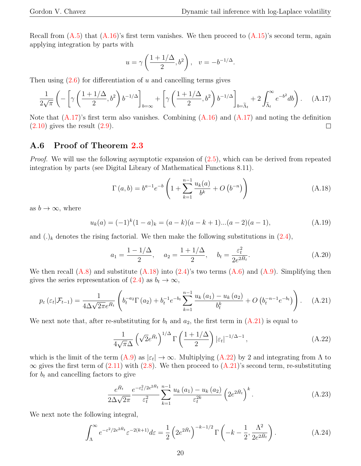Recall from  $(A.5)$  that  $(A.16)$ 's first term vanishes. We then proceed to  $(A.15)$ 's second term, again applying integration by parts with

$$
u = \gamma \left(\frac{1 + 1/\Delta}{2}, b^2\right), \quad v = -b^{-1/\Delta}.
$$

Then using  $(2.6)$  for differentiation of u and cancelling terms gives

<span id="page-19-2"></span>
$$
\frac{1}{2\sqrt{\pi}} \left( -\left[ \gamma \left( \frac{1+1/\Delta}{2}, b^2 \right) b^{-1/\Delta} \right]_{b=\infty} + \left[ \gamma \left( \frac{1+1/\Delta}{2}, b^2 \right) b^{-1/\Delta} \right]_{b=\tilde{\Lambda}_t} + 2 \int_{\tilde{\Lambda}_t}^{\infty} e^{-b^2} db \right). \tag{A.17}
$$

Note that  $(A.17)$ 's first term also vanishes. Combining  $(A.16)$  and  $(A.17)$  and noting the definition  $(2.10)$  gives the result  $(2.9)$ .  $\Box$ 

#### A.6 Proof of Theorem [2.3](#page-6-2)

*Proof.* We will use the following asymptotic expansion of  $(2.5)$ , which can be derived from repeated integration by parts (see Digital Library of Mathematical Functions 8.11).

<span id="page-19-3"></span>
$$
\Gamma(a,b) = b^{a-1} e^{-b} \left( 1 + \sum_{k=1}^{n-1} \frac{u_k(a)}{b^k} + O\left( b^{-n} \right) \right)
$$
 (A.18)

as  $b \to \infty$ , where

<span id="page-19-0"></span>
$$
u_k(a) = (-1)^k (1-a)_k = (a-k)(a-k+1)...(a-2)(a-1),
$$
\n(A.19)

and  $(.)_k$  denotes the rising factorial. We then make the following substitutions in  $(2.4)$ ,

$$
a_1 = \frac{1 - 1/\Delta}{2}
$$
,  $a_2 = \frac{1 + 1/\Delta}{2}$ ,  $b_t = \frac{\varepsilon_t^2}{2e^{2\bar{H}_t}}$ . (A.20)

We then recall  $(A.8)$  and substitute  $(A.18)$  into  $(2.4)$ 's two terms  $(A.6)$  and  $(A.9)$ . Simplifying then gives the series representation of  $(2.4)$  as  $b_t \to \infty$ ,

<span id="page-19-1"></span>
$$
p_{\varepsilon}\left(\varepsilon_{t}|\mathcal{F}_{t-1}\right) = \frac{1}{4\Delta\sqrt{2\pi}e^{\bar{H}_{t}}}\left(b_{t}^{-a_{2}}\Gamma\left(a_{2}\right) + b_{t}^{-1}e^{-b_{t}}\sum_{k=1}^{n-1}\frac{u_{k}\left(a_{1}\right) - u_{k}\left(a_{2}\right)}{b_{t}^{k}} + O\left(b_{t}^{-n-1}e^{-b_{t}}\right)\right). \tag{A.21}
$$

We next note that, after re-substituting for  $b_t$  and  $a_2$ , the first term in  $(A.21)$  is equal to

<span id="page-19-4"></span>
$$
\frac{1}{4\sqrt{\pi}\Delta} \left(\sqrt{2}e^{\bar{H}_t}\right)^{1/\Delta} \Gamma\left(\frac{1+1/\Delta}{2}\right) |\varepsilon_t|^{-1/\Delta - 1},\tag{A.22}
$$

which is the limit of the term  $(A.9)$  as  $|\epsilon_t| \to \infty$ . Multiplying  $(A.22)$  by 2 and integrating from  $\Lambda$  to  $\infty$  gives the first term of [\(2.11\)](#page-6-2) with [\(2.8\)](#page-4-5). We then proceed to [\(A.21\)](#page-19-1)'s second term, re-substituting for  $b_t$  and cancelling factors to give

<span id="page-19-5"></span>
$$
\frac{e^{\bar{H}_t}}{2\Delta\sqrt{2\pi}} \frac{e^{-\varepsilon_t^2/2e^{2\bar{H}_t}}}{\varepsilon_t^2} \sum_{k=1}^{n-1} \frac{u_k\left(a_1\right) - u_k\left(a_2\right)}{\varepsilon_t^{2k}} \left(2e^{2\bar{H}_t}\right)^k. \tag{A.23}
$$

We next note the following integral,

<span id="page-19-6"></span>
$$
\int_{\Lambda}^{\infty} e^{-\varepsilon^2/2e^{2\bar{H}_t}} \varepsilon^{-2(k+1)} d\varepsilon = \frac{1}{2} \left( 2e^{2\bar{H}_t} \right)^{-k-1/2} \Gamma\left(-k - \frac{1}{2}, \frac{\Lambda^2}{2e^{2\bar{H}_t}}\right).
$$
 (A.24)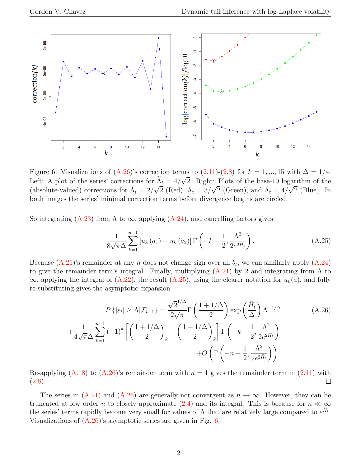![](_page_20_Figure_2.jpeg)

<span id="page-20-2"></span>Figure 6: Visualizations of  $(A.26)$ 's correction terms to  $(2.11)-(2.8)$  $(2.11)-(2.8)$  for  $k = 1, ..., 15$  with  $\Delta = 1/4$ . Left: A plot of the series' corrections for  $\Lambda_t = 4/\sqrt{2}$ . Right: Plots of the base-10 logarithm of the (absolute-valued) corrections for  $\Lambda_t = 2/\sqrt{2}$  (Red),  $\Lambda_t = 3/\sqrt{2}$  (Green), and  $\Lambda_t = 4/\sqrt{2}$  (Blue). In both images the series' minimal correction terms before divergence begins are circled.

So integrating [\(A.23\)](#page-19-5) from  $\Lambda$  to  $\infty$ , applying [\(A.24\)](#page-19-6), and cancelling factors gives

<span id="page-20-1"></span>
$$
\frac{1}{8\sqrt{\pi}\Delta} \sum_{k=1}^{n-1} \left[ u_k(a_1) - u_k(a_2) \right] \Gamma \left( -k - \frac{1}{2}, \frac{\Lambda^2}{2e^{2\tilde{H}_t}} \right). \tag{A.25}
$$

Because  $(A.21)$ 's remainder at any n does not change sign over all  $b_t$ , we can similarly apply  $(A.24)$ to give the remainder term's integral. Finally, multiplying  $(A.21)$  by 2 and integrating from  $\Lambda$  to  $\infty$ , applying the integral of [\(A.22\)](#page-19-4), the result [\(A.25\)](#page-20-1), using the clearer notation for  $u_k(a)$ , and fully re-substituting gives the asymptotic expansion

<span id="page-20-0"></span>
$$
P\left\{|\varepsilon_{t}| \geq \Lambda | \mathcal{F}_{t-1}\right\} = \frac{\sqrt{2}^{1/\Delta}}{2\sqrt{\pi}} \Gamma\left(\frac{1+1/\Delta}{2}\right) \exp\left(\frac{\bar{H}_{t}}{\Delta}\right) \Lambda^{-1/\Delta}
$$
\n
$$
+ \frac{1}{4\sqrt{\pi}\Delta} \sum_{k=1}^{n-1} (-1)^{k} \left[ \left(\frac{1+1/\Delta}{2}\right)_{k} - \left(\frac{1-1/\Delta}{2}\right)_{k} \right] \Gamma\left(-k - \frac{1}{2}, \frac{\Lambda^{2}}{2e^{2\bar{H}_{t}}} \right)
$$
\n
$$
+ O\left(\Gamma\left(-n - \frac{1}{2}, \frac{\Lambda^{2}}{2e^{2\bar{H}_{t}}} \right)\right).
$$
\n(A.26)

Re-applying  $(A.18)$  to  $(A.26)$ 's remainder term with  $n = 1$  gives the remainder term in [\(2.11\)](#page-6-2) with  $(2.8).$  $(2.8).$  $\Box$ 

The series in  $(A.21)$  and  $(A.26)$  are generally not convergent as  $n \to \infty$ . However, they can be truncated at low order n to closely approximate [\(2.4\)](#page-4-2) and its integral. This is because for  $n \ll \infty$ the series' terms rapidly become very small for values of  $\Lambda$  that are relatively large compared to  $e^{\tilde{H}_t}$ . Visualizations of [\(A.26\)](#page-20-0)'s asymptotic series are given in Fig. [6.](#page-20-2)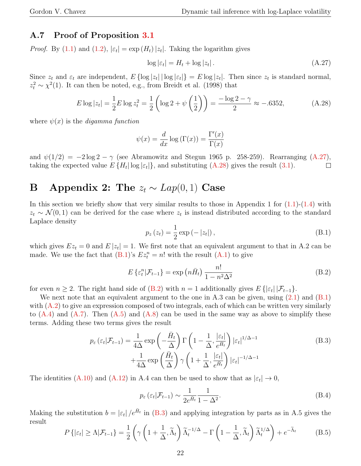### A.7 Proof of Proposition [3.1](#page-7-0)

*Proof.* By [\(1.1\)](#page-1-0) and [\(1.2\)](#page-1-1),  $|\varepsilon_t| = \exp(H_t)|z_t|$ . Taking the logarithm gives

<span id="page-21-0"></span>
$$
\log|\varepsilon_t| = H_t + \log|z_t| \,. \tag{A.27}
$$

Since  $z_t$  and  $\varepsilon_t$  are independent,  $E\{\log |z_t|\mid \log |\varepsilon_t|\} = E\log |z_t|$ . Then since  $z_t$  is standard normal,  $z_t^2 \sim \chi^2(1)$ . It can then be noted, e.g., from Breidt et al. (1998) that

<span id="page-21-1"></span>
$$
E \log |z_t| = \frac{1}{2} E \log z_t^2 = \frac{1}{2} \left( \log 2 + \psi \left( \frac{1}{2} \right) \right) = \frac{-\log 2 - \gamma}{2} \approx -.6352,\tag{A.28}
$$

where  $\psi(x)$  is the *digamma function* 

$$
\psi(x) = \frac{d}{dx} \log(\Gamma(x)) = \frac{\Gamma'(x)}{\Gamma(x)}
$$

and  $\psi(1/2) = -2 \log 2 - \gamma$  (see Abramowitz and Stegun 1965 p. 258-259). Rearranging [\(A.27\)](#page-21-0), taking the expected value  $E\{H_t | \log |\varepsilon_t|\}$ , and substituting [\(A.28\)](#page-21-1) gives the result [\(3.1\)](#page-7-0).  $\Box$ 

## B Appendix 2: The  $z_t \sim Lap(0, 1)$  Case

In this section we briefly show that very similar results to those in Appendix 1 for  $(1.1)-(1.4)$  $(1.1)-(1.4)$  with  $z_t \sim \mathcal{N}(0, 1)$  can be derived for the case where  $z_t$  is instead distributed according to the standard Laplace density

<span id="page-21-2"></span>
$$
p_z(z_t) = \frac{1}{2} \exp(-|z_t|), \tag{B.1}
$$

which gives  $Ez_t = 0$  and  $E|z_t| = 1$ . We first note that an equivalent argument to that in A.2 can be made. We use the fact that  $(B.1)$ 's  $Ez_t^n = n!$  with the result  $(A.1)$  to give

<span id="page-21-3"></span>
$$
E\left\{\varepsilon_t^n|\mathcal{F}_{t-1}\right\} = \exp\left(n\bar{H}_t\right) \frac{n!}{1 - n^2\Delta^2} \tag{B.2}
$$

for even  $n \geq 2$ . The right hand side of [\(B.2\)](#page-21-3) with  $n = 1$  additionally gives  $E\{|\varepsilon_t| | \mathcal{F}_{t-1}\}.$ 

We next note that an equivalent argument to the one in A.3 can be given, using  $(2.1)$  and  $(B.1)$ with  $(A.2)$  to give an expression composed of two integrals, each of which can be written very similarly to  $(A.4)$  and  $(A.7)$ . Then  $(A.5)$  and  $(A.8)$  can be used in the same way as above to simplify these terms. Adding these two terms gives the result

<span id="page-21-4"></span>
$$
p_{\varepsilon}(\varepsilon_t|\mathcal{F}_{t-1}) = \frac{1}{4\Delta} \exp\left(-\frac{\bar{H}_t}{\Delta}\right) \Gamma\left(1 - \frac{1}{\Delta}, \frac{|\varepsilon_t|}{e^{\bar{H}_t}}\right) |\varepsilon_t|^{1/\Delta - 1} + \frac{1}{4\Delta} \exp\left(\frac{\bar{H}_t}{\Delta}\right) \gamma \left(1 + \frac{1}{\Delta}, \frac{|\varepsilon_t|}{e^{\bar{H}_t}}\right) |\varepsilon_t|^{-1/\Delta - 1}
$$
\n(B.3)

The identities [\(A.10\)](#page-18-0) and [\(A.12\)](#page-18-1) in A.4 can then be used to show that as  $|\varepsilon_t| \to 0$ ,

$$
p_{\varepsilon}(\varepsilon_t|\mathcal{F}_{t-1}) \sim \frac{1}{2e^{\tilde{H}_t}} \frac{1}{1 - \Delta^2}.
$$
 (B.4)

Making the substitution  $b = |\varepsilon_t|/e^{\tilde{H}_t}$  in [\(B.3\)](#page-21-4) and applying integration by parts as in A.5 gives the result

$$
P\left\{|{\varepsilon}_t| \geq \Lambda | \mathcal{F}_{t-1}\right\} = \frac{1}{2} \left( \gamma \left(1 + \frac{1}{\Delta}, \widetilde{\Lambda}_t\right) \widetilde{\Lambda}_t^{-1/\Delta} - \Gamma \left(1 - \frac{1}{\Delta}, \widetilde{\Lambda}_t\right) \widetilde{\Lambda}_t^{1/\Delta} \right) + e^{-\widetilde{\Lambda}_t} \tag{B.5}
$$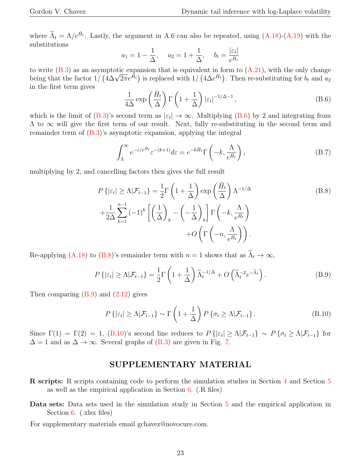where  $\tilde{\Lambda}_t = \Lambda/e^{\bar{H}_t}$ . Lastly, the argument in A.6 can also be repeated, using  $(A.18)-(A.19)$  $(A.18)-(A.19)$  with the substitutions

$$
a_1 = 1 - \frac{1}{\Delta}, \quad a_2 = 1 + \frac{1}{\Delta}, \quad b_t = \frac{|\varepsilon_t|}{e^{\bar{H}_t}}
$$

to write  $(B.3)$  as an asymptotic expansion that is equivalent in form to  $(A.21)$ , with the only change to write (B.3) as an asymptotic expansion that is equivalent in form to (A.21), with the only change being that the factor  $1/(4\Delta\sqrt{2\pi}e^{\tilde{H}_t})$  is replaced with  $1/(4\Delta e^{\tilde{H}_t})$ . Then re-substituting for  $b_t$  and  $a_$ in the first term gives

<span id="page-22-0"></span>
$$
\frac{1}{4\Delta} \exp\left(\frac{\bar{H}_t}{\Delta}\right) \Gamma\left(1 + \frac{1}{\Delta}\right) |\varepsilon_t|^{-1/\Delta - 1},\tag{B.6}
$$

which is the limit of  $(B.3)$ 's second term as  $|\varepsilon_t| \to \infty$ . Multiplying  $(B.6)$  by 2 and integrating from  $\Lambda$  to  $\infty$  will give the first term of our result. Next, fully re-substituting in the second term and remainder term of [\(B.3\)](#page-21-4)'s asymptotic expansion, applying the integral

$$
\int_{\Lambda}^{\infty} e^{-\varepsilon/e^{\bar{H}_t}} \varepsilon^{-(k+1)} d\varepsilon = e^{-k\bar{H}_t} \Gamma\left(-k, \frac{\Lambda}{e^{\bar{H}_t}}\right),\tag{B.7}
$$

multiplying by 2, and cancelling factors then gives the full result

<span id="page-22-1"></span>
$$
P\left\{|\varepsilon_t| \ge \Lambda | \mathcal{F}_{t-1}\right\} = \frac{1}{2} \Gamma\left(1 + \frac{1}{\Delta}\right) \exp\left(\frac{\bar{H}_t}{\Delta}\right) \Lambda^{-1/\Delta}
$$
\n
$$
+ \frac{1}{2\Delta} \sum_{k=1}^{n-1} (-1)^k \left[\left(\frac{1}{\Delta}\right)_k - \left(-\frac{1}{\Delta}\right)_k\right] \Gamma\left(-k, \frac{\Lambda}{e^{\bar{H}_t}}\right)
$$
\n
$$
+ O\left(\Gamma\left(-n, \frac{\Lambda}{e^{\bar{H}_t}}\right)\right).
$$
\n(B.8)

Re-applying [\(A.18\)](#page-19-3) to [\(B.8\)](#page-22-1)'s remainder term with  $n = 1$  shows that as  $\widetilde{\Lambda}_t \to \infty$ ,

<span id="page-22-2"></span>
$$
P\left\{|{\varepsilon}_t| \ge \Lambda | \mathcal{F}_{t-1}\right\} = \frac{1}{2} \Gamma\left(1 + \frac{1}{\Delta}\right) \widetilde{\Lambda}_t^{-1/\Delta} + O\left(\widetilde{\Lambda}_t^{-2} e^{-\widetilde{\Lambda}_t}\right). \tag{B.9}
$$

Then comparing  $(B.9)$  and  $(2.12)$  gives

<span id="page-22-3"></span>
$$
P\left\{| \varepsilon_t | \ge \Lambda | \mathcal{F}_{t-1}\right\} \sim \Gamma\left(1 + \frac{1}{\Delta}\right) P\left\{\sigma_t \ge \Lambda | \mathcal{F}_{t-1}\right\}.
$$
 (B.10)

Since  $\Gamma(1) = \Gamma(2) = 1$ , [\(B.10\)](#page-22-3)'s second line reduces to  $P\{\left|\varepsilon_t\right| \geq \Lambda | \mathcal{F}_{t-1}\}\sim P\{\sigma_t \geq \Lambda | \mathcal{F}_{t-1}\}\$  for  $\Delta = 1$  and as  $\Delta \rightarrow \infty$ . Several graphs of [\(B.3\)](#page-21-4) are given in Fig. [7.](#page-23-0)

#### SUPPLEMENTARY MATERIAL

- R scripts: R scripts containing code to perform the simulation studies in Section [4](#page-7-5) and Section [5](#page-8-2) as well as the empirical application in Section [6.](#page-13-0) (.R files)
- Data sets: Data sets used in the simulation study in Section [5](#page-8-2) and the empirical application in Section [6.](#page-13-0) (xlsx files)

For supplementary materials email gchavez@novocure.com.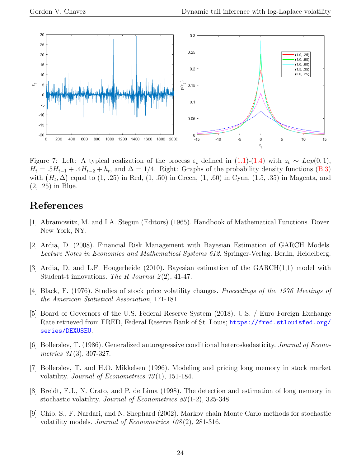![](_page_23_Figure_2.jpeg)

<span id="page-23-0"></span>Figure 7: Left: A typical realization of the process  $\varepsilon_t$  defined in [\(1.1\)](#page-1-0)-[\(1.4\)](#page-2-0) with  $z_t \sim Lap(0,1)$ ,  $H_t = .5H_{t-1} + .4H_{t-2} + h_t$ , and  $\Delta = 1/4$ . Right: Graphs of the probability density functions [\(B.3\)](#page-21-4) with  $(\bar{H}_t, \Delta)$  equal to  $(1, .25)$  in Red,  $(1, .50)$  in Green,  $(1, .60)$  in Cyan,  $(1.5, .35)$  in Magenta, and (2, .25) in Blue.

### References

- [1] Abramowitz, M. and I.A. Stegun (Editors) (1965). Handbook of Mathematical Functions. Dover. New York, NY.
- [2] Ardia, D. (2008). Financial Risk Management with Bayesian Estimation of GARCH Models. Lecture Notes in Economics and Mathematical Systems 612. Springer-Verlag. Berlin, Heidelberg.
- [3] Ardia, D. and L.F. Hoogerheide (2010). Bayesian estimation of the GARCH(1,1) model with Student-t innovations. The R Journal  $2(2)$ , 41-47.
- [4] Black, F. (1976). Studies of stock price volatility changes. Proceedings of the 1976 Meetings of the American Statistical Association, 171-181.
- [5] Board of Governors of the U.S. Federal Reserve System (2018). U.S. / Euro Foreign Exchange Rate retrieved from FRED, Federal Reserve Bank of St. Louis; [https://fred.stlouisfed.org/](https://fred.stlouisfed.org/series/DEXUSEU) [series/DEXUSEU](https://fred.stlouisfed.org/series/DEXUSEU).
- [6] Bollerslev, T. (1986). Generalized autoregressive conditional heteroskedasticity. Journal of Econometrics 31(3), 307-327.
- [7] Bollerslev, T. and H.O. Mikkelsen (1996). Modeling and pricing long memory in stock market volatility. *Journal of Econometrics* 73(1), 151-184.
- [8] Breidt, F.J., N. Crato, and P. de Lima (1998). The detection and estimation of long memory in stochastic volatility. Journal of Econometrics 83 (1-2), 325-348.
- [9] Chib, S., F. Nardari, and N. Shephard (2002). Markov chain Monte Carlo methods for stochastic volatility models. *Journal of Econometrics 108(2)*, 281-316.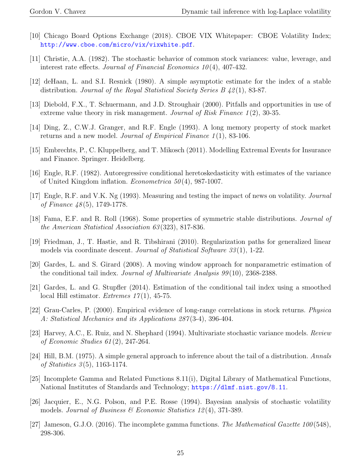- [10] Chicago Board Options Exchange (2018). CBOE VIX Whitepaper: CBOE Volatility Index; <http://www.cboe.com/micro/vix/vixwhite.pdf>.
- [11] Christie, A.A. (1982). The stochastic behavior of common stock variances: value, leverage, and interest rate effects. Journal of Financial Economics  $10(4)$ , 407-432.
- [12] deHaan, L. and S.I. Resnick (1980). A simple asymptotic estimate for the index of a stable distribution. Journal of the Royal Statistical Society Series  $B\ 42(1), 83-87.$
- [13] Diebold, F.X., T. Schuermann, and J.D. Stroughair (2000). Pitfalls and opportunities in use of extreme value theory in risk management. Journal of Risk Finance 1(2), 30-35.
- [14] Ding, Z., C.W.J. Granger, and R.F. Engle (1993). A long memory property of stock market returns and a new model. Journal of Empirical Finance  $1(1)$ , 83-106.
- [15] Embrechts, P., C. Kluppelberg, and T. Mikosch (2011). Modelling Extremal Events for Insurance and Finance. Springer. Heidelberg.
- [16] Engle, R.F. (1982). Autoregressive conditional heretoskedasticity with estimates of the variance of United Kingdom inflation. *Econometrica*  $50(4)$ , 987-1007.
- [17] Engle, R.F. and V.K. Ng (1993). Measuring and testing the impact of news on volatility. Journal of Finance 48 (5), 1749-1778.
- [18] Fama, E.F. and R. Roll (1968). Some properties of symmetric stable distributions. Journal of the American Statistical Association 63 (323), 817-836.
- [19] Friedman, J., T. Hastie, and R. Tibshirani (2010). Regularization paths for generalized linear models via coordinate descent. Journal of Statistical Software  $33(1)$ , 1-22.
- [20] Gardes, L. and S. Girard (2008). A moving window approach for nonparametric estimation of the conditional tail index. Journal of Multivariate Analysis 99 (10), 2368-2388.
- [21] Gardes, L. and G. Stupfler (2014). Estimation of the conditional tail index using a smoothed local Hill estimator. *Extremes*  $17(1)$ , 45-75.
- [22] Grau-Carles, P. (2000). Empirical evidence of long-range correlations in stock returns. Physica A: Statistical Mechanics and its Applications 287 (3-4), 396-404.
- [23] Harvey, A.C., E. Ruiz, and N. Shephard (1994). Multivariate stochastic variance models. Review of Economic Studies 61 (2), 247-264.
- [24] Hill, B.M. (1975). A simple general approach to inference about the tail of a distribution. Annals of Statistics 3 (5), 1163-1174.
- [25] Incomplete Gamma and Related Functions 8.11(i), Digital Library of Mathematical Functions, National Institutes of Standards and Technology; <https://dlmf.nist.gov/8.11>.
- [26] Jacquier, E., N.G. Polson, and P.E. Rosse (1994). Bayesian analysis of stochastic volatility models. Journal of Business  $\mathcal C$  Economic Statistics 12(4), 371-389.
- [27] Jameson, G.J.O. (2016). The incomplete gamma functions. The Mathematical Gazette 100 (548), 298-306.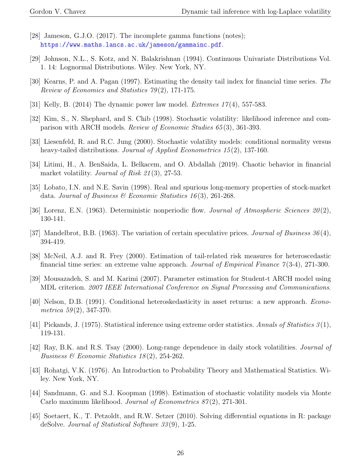- [28] Jameson, G.J.O. (2017). The incomplete gamma functions (notes); <https://www.maths.lancs.ac.uk/jameson/gammainc.pdf>.
- [29] Johnson, N.L., S. Kotz, and N. Balakrishnan (1994). Continuous Univariate Distributions Vol. 1. 14: Lognormal Distributions. Wiley. New York, NY.
- [30] Kearns, P. and A. Pagan (1997). Estimating the density tail index for financial time series. The Review of Economics and Statistics 79 (2), 171-175.
- [31] Kelly, B. (2014) The dynamic power law model. *Extremes*  $17(4)$ , 557-583.
- [32] Kim, S., N. Shephard, and S. Chib (1998). Stochastic volatility: likelihood inference and comparison with ARCH models. Review of Economic Studies 65 (3), 361-393.
- [33] Liesenfeld, R. and R.C. Jung (2000). Stochastic volatility models: conditional normality versus heavy-tailed distributions. *Journal of Applied Econometrics 15*(2), 137-160.
- [34] Litimi, H., A. BenSaida, L. Belkacem, and O. Abdallah (2019). Chaotic behavior in financial market volatility. *Journal of Risk 21*(3), 27-53.
- [35] Lobato, I.N. and N.E. Savin (1998). Real and spurious long-memory properties of stock-market data. Journal of Business & Economic Statistics 16(3), 261-268.
- [36] Lorenz, E.N. (1963). Deterministic nonperiodic flow. *Journal of Atmospheric Sciences*  $20(2)$ , 130-141.
- [37] Mandelbrot, B.B. (1963). The variation of certain speculative prices. *Journal of Business*  $36(4)$ , 394-419.
- [38] McNeil, A.J. and R. Frey (2000). Estimation of tail-related risk measures for heteroscedastic financial time series: an extreme value approach. Journal of Empirical Finance  $\gamma(3-4)$ , 271-300.
- [39] Mousazadeh, S. and M. Karimi (2007). Parameter estimation for Student-t ARCH model using MDL criterion. 2007 IEEE International Conference on Signal Processing and Communications.
- [40] Nelson, D.B. (1991). Conditional heteroskedasticity in asset returns: a new approach. Econometrica  $59(2)$ , 347-370.
- [41] Pickands, J. (1975). Statistical inference using extreme order statistics. Annals of Statistics  $3(1)$ , 119-131.
- [42] Ray, B.K. and R.S. Tsay (2000). Long-range dependence in daily stock volatilities. Journal of Business & Economic Statistics 18 (2), 254-262.
- [43] Rohatgi, V.K. (1976). An Introduction to Probability Theory and Mathematical Statistics. Wiley. New York, NY.
- [44] Sandmann, G. and S.J. Koopman (1998). Estimation of stochastic volatility models via Monte Carlo maximum likelihood. Journal of Econometrics 87(2), 271-301.
- [45] Soetaert, K., T. Petzoldt, and R.W. Setzer (2010). Solving differential equations in R: package deSolve. Journal of Statistical Software 33 (9), 1-25.